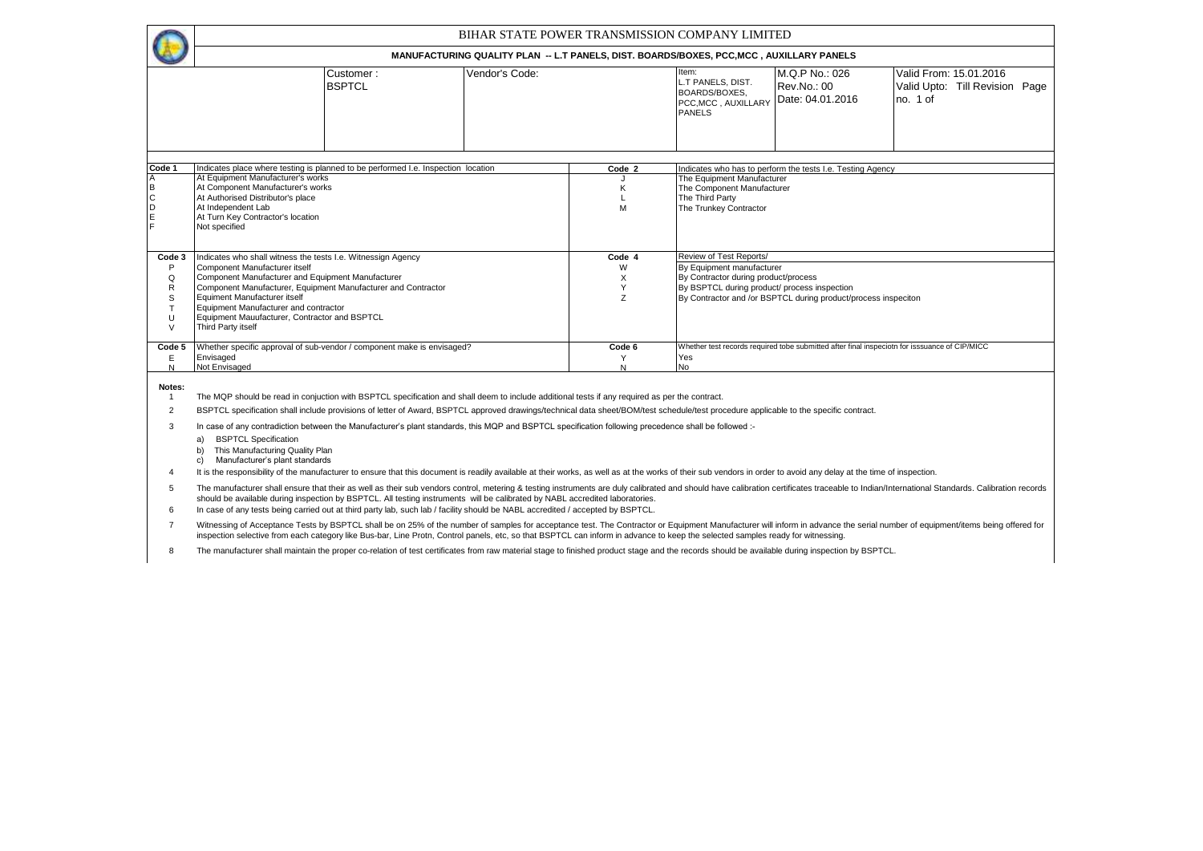|                                      |                                                                                                                                                                                                                                                                                                                                                                                                                                                                                                                                                                                                                 |                |                  | BIHAR STATE POWER TRANSMISSION COMPANY LIMITED                                                                    |                                                                |                                                                                               |  |  |  |  |  |  |  |  |
|--------------------------------------|-----------------------------------------------------------------------------------------------------------------------------------------------------------------------------------------------------------------------------------------------------------------------------------------------------------------------------------------------------------------------------------------------------------------------------------------------------------------------------------------------------------------------------------------------------------------------------------------------------------------|----------------|------------------|-------------------------------------------------------------------------------------------------------------------|----------------------------------------------------------------|-----------------------------------------------------------------------------------------------|--|--|--|--|--|--|--|--|
|                                      |                                                                                                                                                                                                                                                                                                                                                                                                                                                                                                                                                                                                                 |                |                  | MANUFACTURING QUALITY PLAN -- L.T PANELS, DIST. BOARDS/BOXES, PCC, MCC, AUXILLARY PANELS                          |                                                                |                                                                                               |  |  |  |  |  |  |  |  |
|                                      | Customer:<br><b>BSPTCL</b>                                                                                                                                                                                                                                                                                                                                                                                                                                                                                                                                                                                      | Vendor's Code: |                  | Item:<br>L.T PANELS, DIST.<br><b>BOARDS/BOXES.</b><br>PCC, MCC, AUXILLARY<br><b>PANELS</b>                        | M.Q.P No.: 026<br>Rev.No.: 00<br>Date: 04.01.2016              | Valid From: 15.01.2016<br>Valid Upto: Till Revision Page<br>no. 1 of                          |  |  |  |  |  |  |  |  |
| Code 1                               |                                                                                                                                                                                                                                                                                                                                                                                                                                                                                                                                                                                                                 |                |                  |                                                                                                                   |                                                                |                                                                                               |  |  |  |  |  |  |  |  |
| A<br>B<br>$\mathsf{C}$<br>D          | Indicates place where testing is planned to be performed I.e. Inspection location<br>Indicates who has to perform the tests I.e. Testing Agency<br>Code 2<br>At Equipment Manufacturer's works<br>The Equipment Manufacturer<br>At Component Manufacturer's works<br>The Component Manufacturer<br>At Authorised Distributor's place<br>The Third Party<br>At Independent Lab<br>The Trunkey Contractor<br>M<br>At Turn Key Contractor's location<br>Not specified                                                                                                                                              |                |                  |                                                                                                                   |                                                                |                                                                                               |  |  |  |  |  |  |  |  |
| Code 3                               | Indicates who shall witness the tests I.e. Witnessign Agency                                                                                                                                                                                                                                                                                                                                                                                                                                                                                                                                                    |                | Code 4           | Review of Test Reports/                                                                                           |                                                                |                                                                                               |  |  |  |  |  |  |  |  |
| P<br>Q<br>R<br>S<br>T<br>U<br>$\vee$ | Component Manufacturer itself<br>Component Manufacturer and Equipment Manufacturer<br>Component Manufacturer, Equipment Manufacturer and Contractor<br>Equiment Manufacturer itself<br>Equipment Manufacturer and contractor<br>Equipment Mauufacturer, Contractor and BSPTCL<br>Third Party itself                                                                                                                                                                                                                                                                                                             |                | W<br>X<br>Y<br>Z | By Equipment manufacturer<br>By Contractor during product/process<br>By BSPTCL during product/ process inspection | By Contractor and /or BSPTCL during product/process inspeciton |                                                                                               |  |  |  |  |  |  |  |  |
| Code 5<br>Ε<br>N                     | Whether specific approval of sub-vendor / component make is envisaged?<br>Envisaged<br>Not Envisaged                                                                                                                                                                                                                                                                                                                                                                                                                                                                                                            |                | Code 6<br>Υ<br>N | Yes<br>No                                                                                                         |                                                                | Whether test records required tobe submitted after final inspeciotn for isssuance of CIP/MICC |  |  |  |  |  |  |  |  |
| Notes:<br>-1<br>2<br>3               | The MQP should be read in conjuction with BSPTCL specification and shall deem to include additional tests if any required as per the contract.<br>BSPTCL specification shall include provisions of letter of Award, BSPTCL approved drawings/technical data sheet/BOM/test schedule/test procedure applicable to the specific contract.<br>In case of any contradiction between the Manufacturer's plant standards, this MQP and BSPTCL specification following precedence shall be followed :-<br><b>BSPTCL Specification</b><br>a)<br>This Manufacturing Quality Plan<br>Manufacturer's plant standards<br>c) |                |                  |                                                                                                                   |                                                                |                                                                                               |  |  |  |  |  |  |  |  |

4 It is the responsibility of the manufacturer to ensure that this document is readily available at their works, as well as at the works of their sub vendors in order to avoid any delay at the time of inspection.

5 The manufacturer shall ensure that their as well as their sub vendors control, metering & testing instruments are duly calibrated and should have calibration certificates traceable to Indian/International Standards. Calibr

6 In case of any tests being carried out at third party lab, such lab / facility should be NABL accredited / accepted by BSPTCL.

7 Witnessing of Acceptance Tests by BSPTCL shall be on 25% of the number of samples for acceptance test. The Contractor or Equipment Manufacturer will inform in advance the serial number of equipment/items being offered for inspection selective from each category like Bus-bar, Line Protn, Control panels, etc, so that BSPTCL can inform in advance to keep the selected samples ready for witnessing.

8 The manufacturer shall maintain the proper co-relation of test certificates from raw material stage to finished product stage and the records should be available during inspection by BSPTCL.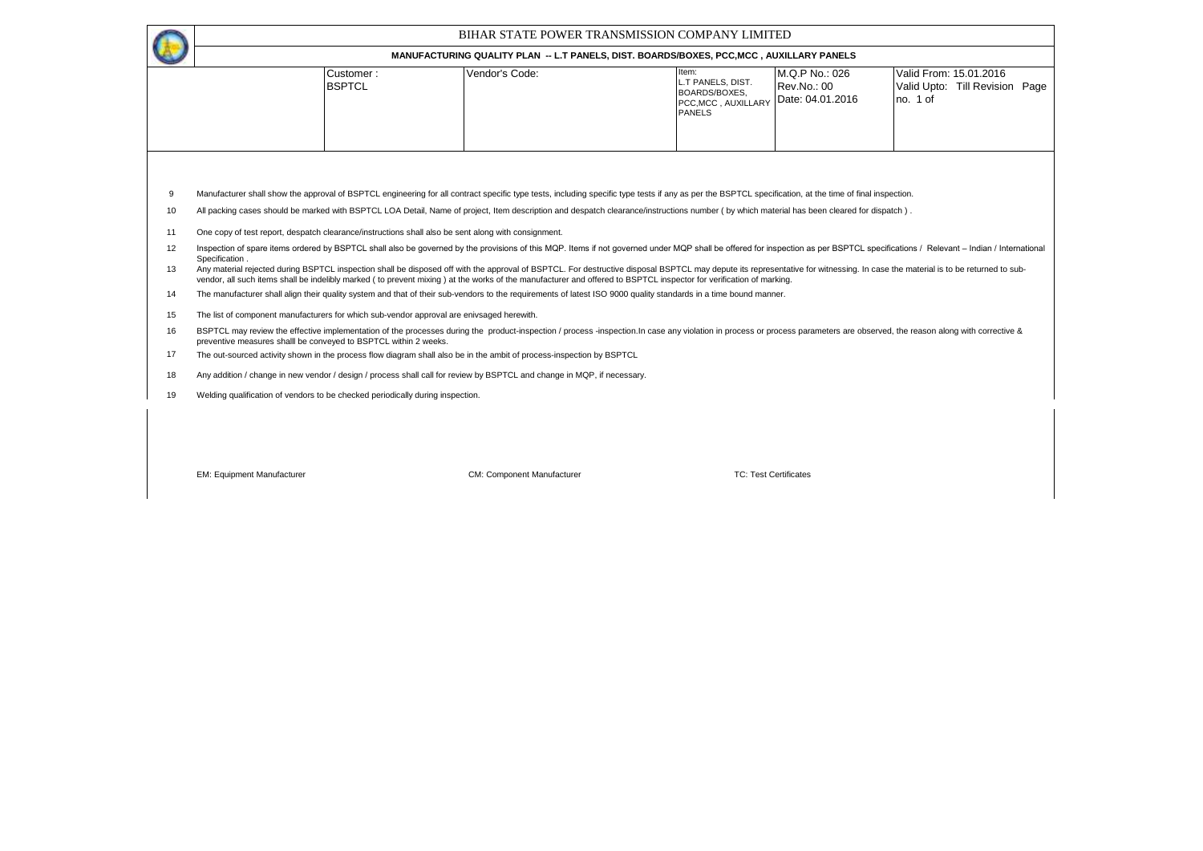|          |                                                                                                                                                                                                                                                                                                                                                                                                                                                                                                                                                                                                                                                            | BIHAR STATE POWER TRANSMISSION COMPANY LIMITED                                           |                                                                                            |                                                   |                                                                      |  |  |  |  |  |  |  |  |  |  |
|----------|------------------------------------------------------------------------------------------------------------------------------------------------------------------------------------------------------------------------------------------------------------------------------------------------------------------------------------------------------------------------------------------------------------------------------------------------------------------------------------------------------------------------------------------------------------------------------------------------------------------------------------------------------------|------------------------------------------------------------------------------------------|--------------------------------------------------------------------------------------------|---------------------------------------------------|----------------------------------------------------------------------|--|--|--|--|--|--|--|--|--|--|
|          |                                                                                                                                                                                                                                                                                                                                                                                                                                                                                                                                                                                                                                                            | MANUFACTURING QUALITY PLAN -- L.T PANELS, DIST. BOARDS/BOXES, PCC, MCC, AUXILLARY PANELS |                                                                                            |                                                   |                                                                      |  |  |  |  |  |  |  |  |  |  |
|          | Customer:<br><b>BSPTCL</b>                                                                                                                                                                                                                                                                                                                                                                                                                                                                                                                                                                                                                                 | Vendor's Code:                                                                           | ltem:<br>L.T PANELS, DIST.<br><b>BOARDS/BOXES.</b><br>PCC, MCC, AUXILLARY<br><b>PANELS</b> | M.Q.P No.: 026<br>Rev.No.: 00<br>Date: 04.01.2016 | Valid From: 15.01.2016<br>Valid Upto: Till Revision Page<br>no. 1 of |  |  |  |  |  |  |  |  |  |  |
| 9<br>10  | Manufacturer shall show the approval of BSPTCL engineering for all contract specific type tests, including specific type tests if any as per the BSPTCL specification, at the time of final inspection.<br>All packing cases should be marked with BSPTCL LOA Detail, Name of project, Item description and despatch clearance/instructions number (by which material has been cleared for dispatch).                                                                                                                                                                                                                                                      |                                                                                          |                                                                                            |                                                   |                                                                      |  |  |  |  |  |  |  |  |  |  |
| 11       | One copy of test report, despatch clearance/instructions shall also be sent along with consignment.                                                                                                                                                                                                                                                                                                                                                                                                                                                                                                                                                        |                                                                                          |                                                                                            |                                                   |                                                                      |  |  |  |  |  |  |  |  |  |  |
| 12<br>13 | Inspection of spare items ordered by BSPTCL shall also be governed by the provisions of this MQP. Items if not governed under MQP shall be offered for inspection as per BSPTCL specifications / Relevant - Indian / Internati<br>Specification.<br>Any material rejected during BSPTCL inspection shall be disposed off with the approval of BSPTCL. For destructive disposal BSPTCL may depute its representative for witnessing. In case the material is to be returned to sub-<br>vendor, all such items shall be indelibly marked ( to prevent mixing ) at the works of the manufacturer and offered to BSPTCL inspector for verification of marking. |                                                                                          |                                                                                            |                                                   |                                                                      |  |  |  |  |  |  |  |  |  |  |
| 14       | The manufacturer shall align their quality system and that of their sub-vendors to the requirements of latest ISO 9000 quality standards in a time bound manner.                                                                                                                                                                                                                                                                                                                                                                                                                                                                                           |                                                                                          |                                                                                            |                                                   |                                                                      |  |  |  |  |  |  |  |  |  |  |
| 15       | The list of component manufacturers for which sub-vendor approval are enivsaged herewith.                                                                                                                                                                                                                                                                                                                                                                                                                                                                                                                                                                  |                                                                                          |                                                                                            |                                                   |                                                                      |  |  |  |  |  |  |  |  |  |  |
| 16       | BSPTCL may review the effective implementation of the processes during the product-inspection / process -inspection. In case any violation in process or process parameters are observed, the reason along with corrective &<br>preventive measures shall be conveved to BSPTCL within 2 weeks.                                                                                                                                                                                                                                                                                                                                                            |                                                                                          |                                                                                            |                                                   |                                                                      |  |  |  |  |  |  |  |  |  |  |
| 17       | The out-sourced activity shown in the process flow diagram shall also be in the ambit of process-inspection by BSPTCL                                                                                                                                                                                                                                                                                                                                                                                                                                                                                                                                      |                                                                                          |                                                                                            |                                                   |                                                                      |  |  |  |  |  |  |  |  |  |  |
| 18       | Any addition / change in new vendor / design / process shall call for review by BSPTCL and change in MQP, if necessary.                                                                                                                                                                                                                                                                                                                                                                                                                                                                                                                                    |                                                                                          |                                                                                            |                                                   |                                                                      |  |  |  |  |  |  |  |  |  |  |
| 19       | Welding qualification of vendors to be checked periodically during inspection.                                                                                                                                                                                                                                                                                                                                                                                                                                                                                                                                                                             |                                                                                          |                                                                                            |                                                   |                                                                      |  |  |  |  |  |  |  |  |  |  |
|          |                                                                                                                                                                                                                                                                                                                                                                                                                                                                                                                                                                                                                                                            |                                                                                          |                                                                                            |                                                   |                                                                      |  |  |  |  |  |  |  |  |  |  |
|          | <b>EM: Equipment Manufacturer</b>                                                                                                                                                                                                                                                                                                                                                                                                                                                                                                                                                                                                                          | CM: Component Manufacturer                                                               | <b>TC: Test Certificates</b>                                                               |                                                   |                                                                      |  |  |  |  |  |  |  |  |  |  |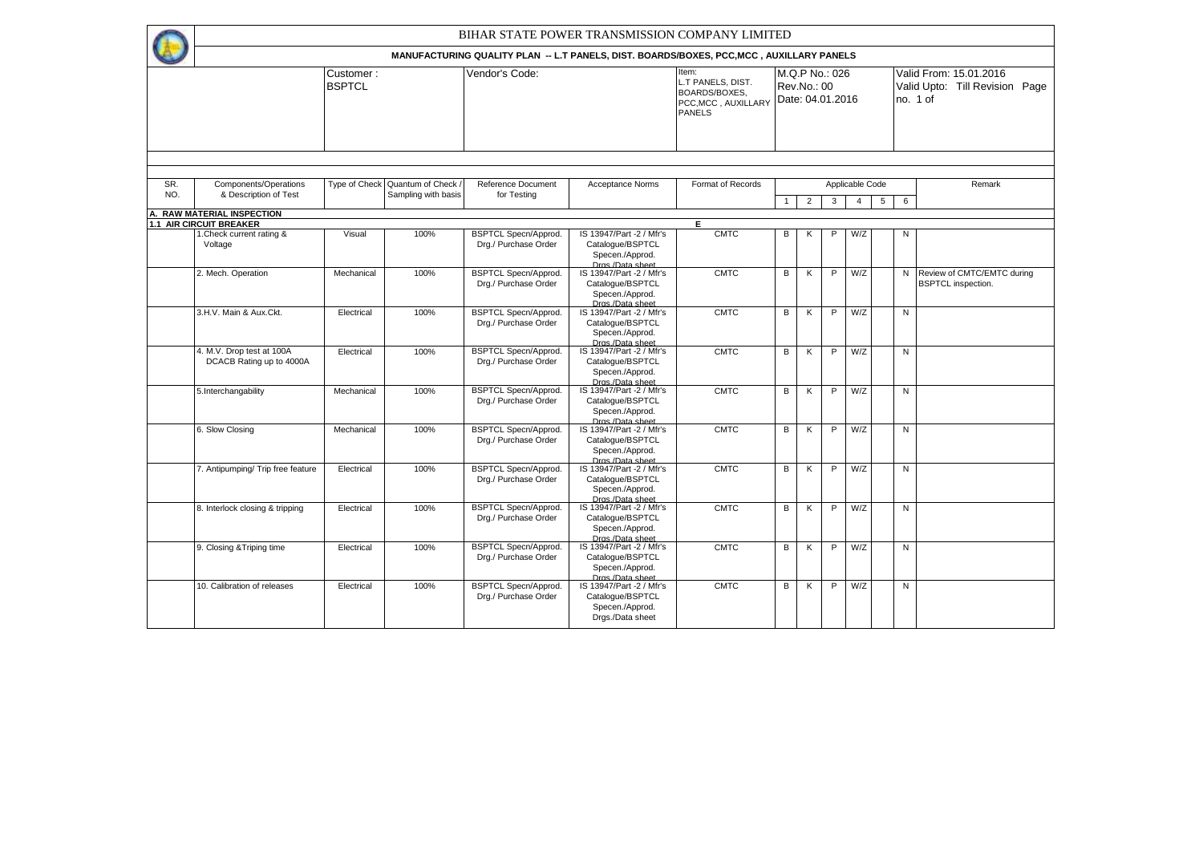|            |                                                                  |                            |                                         |                                                     | BIHAR STATE POWER TRANSMISSION COMPANY LIMITED                                                          |                                                                                     |              |                                                   |   |                 |   |                |                                                                      |
|------------|------------------------------------------------------------------|----------------------------|-----------------------------------------|-----------------------------------------------------|---------------------------------------------------------------------------------------------------------|-------------------------------------------------------------------------------------|--------------|---------------------------------------------------|---|-----------------|---|----------------|----------------------------------------------------------------------|
|            |                                                                  |                            |                                         |                                                     | <b>MANUFACTURING QUALITY PLAN -- L.T PANELS, DIST, BOARDS/BOXES, PCC.MCC, AUXILLARY PANELS</b>          |                                                                                     |              |                                                   |   |                 |   |                |                                                                      |
|            |                                                                  | Customer:<br><b>BSPTCL</b> |                                         | Vendor's Code:                                      |                                                                                                         | Item:<br>L.T PANELS, DIST.<br>BOARDS/BOXES,<br>PCC, MCC, AUXILLARY<br><b>PANELS</b> |              | M.Q.P No.: 026<br>Rev.No.: 00<br>Date: 04.01.2016 |   |                 |   |                | Valid From: 15.01.2016<br>Valid Upto: Till Revision Page<br>no. 1 of |
|            |                                                                  |                            |                                         |                                                     |                                                                                                         |                                                                                     |              |                                                   |   |                 |   |                |                                                                      |
| SR.<br>NO. | Components/Operations<br>& Description of Test                   | Type of Check              | Quantum of Check<br>Sampling with basis | Reference Document<br>for Testing                   | <b>Acceptance Norms</b>                                                                                 | Format of Records                                                                   |              |                                                   |   | Applicable Code |   |                | Remark                                                               |
|            |                                                                  |                            |                                         |                                                     |                                                                                                         |                                                                                     | $\mathbf{1}$ | $\overline{2}$                                    | 3 | $\overline{4}$  | 5 | 6              |                                                                      |
| Α.         | <b>RAW MATERIAL INSPECTION</b><br><b>1.1 AIR CIRCUIT BREAKER</b> |                            |                                         |                                                     |                                                                                                         | E.                                                                                  |              |                                                   |   |                 |   |                |                                                                      |
|            | 1. Check current rating &<br>Voltage                             | Visual                     | 100%                                    | <b>BSPTCL Specn/Approd.</b><br>Drg./ Purchase Order | IS 13947/Part -2 / Mfr's<br>Catalogue/BSPTCL<br>Specen./Approd.<br>Dros /Data sheet                     | <b>CMTC</b>                                                                         | B            | K                                                 | P | W/Z             |   | N              |                                                                      |
|            | 2. Mech. Operation                                               | Mechanical                 | 100%                                    | <b>BSPTCL Specn/Approd.</b><br>Drg./ Purchase Order | IS 13947/Part -2 / Mfr's<br>Catalogue/BSPTCL<br>Specen./Approd.<br>Dros./Data sheet                     | <b>CMTC</b>                                                                         | B            | К                                                 | P | W/Z             |   | N              | Review of CMTC/EMTC during<br><b>BSPTCL</b> inspection.              |
|            | 3.H.V. Main & Aux.Ckt.                                           | Electrical                 | 100%                                    | <b>BSPTCL Specn/Approd.</b><br>Drg./ Purchase Order | IS 13947/Part -2 / Mfr's<br>Catalogue/BSPTCL<br>Specen./Approd.<br>Dros./Data sheet                     | <b>CMTC</b>                                                                         | В            | К                                                 | P | W/Z             |   | N              |                                                                      |
|            | 4. M.V. Drop test at 100A<br>DCACB Rating up to 4000A            | Electrical                 | 100%                                    | <b>BSPTCL Specn/Approd.</b><br>Drg./ Purchase Order | IS 13947/Part -2 / Mfr's<br>Catalogue/BSPTCL<br>Specen./Approd.                                         | <b>CMTC</b>                                                                         | В            | Κ                                                 | P | W/Z             |   | N              |                                                                      |
|            | 5.Interchangability                                              | Mechanical                 | 100%                                    | <b>BSPTCL Specn/Approd.</b><br>Drg./ Purchase Order | Dras /Data sheet<br>IS 13947/Part -2 / Mfr's<br>Catalogue/BSPTCL<br>Specen./Approd.<br>Dras./Data sheet | <b>CMTC</b>                                                                         | В            | Κ                                                 | P | W/Z             |   | N              |                                                                      |
|            | 6. Slow Closing                                                  | Mechanical                 | 100%                                    | <b>BSPTCL Specn/Approd.</b><br>Drg./ Purchase Order | IS 13947/Part -2 / Mfr's<br>Catalogue/BSPTCL<br>Specen./Approd.<br>Dros./Data sheet                     | <b>CMTC</b>                                                                         | B            | К                                                 | P | W/Z             |   | N              |                                                                      |
|            | 7. Antipumping/ Trip free feature                                | Electrical                 | 100%                                    | <b>BSPTCL Specn/Approd.</b><br>Drg./ Purchase Order | IS 13947/Part -2 / Mfr's<br>Catalogue/BSPTCL<br>Specen./Approd.<br>Dros./Data sheet                     | <b>CMTC</b>                                                                         | В            | К                                                 | P | W/Z             |   | ${\sf N}$      |                                                                      |
|            | 8. Interlock closing & tripping                                  | Electrical                 | 100%                                    | <b>BSPTCL Specn/Approd.</b><br>Drg./ Purchase Order | IS 13947/Part -2 / Mfr's<br>Catalogue/BSPTCL<br>Specen./Approd.<br>Dros./Data sheet                     | <b>CMTC</b>                                                                         | В            | K                                                 | P | W/Z             |   | ${\sf N}$      |                                                                      |
|            | 9. Closing & Triping time                                        | Electrical                 | 100%                                    | <b>BSPTCL Specn/Approd.</b><br>Drg./ Purchase Order | IS 13947/Part -2 / Mfr's<br>Catalogue/BSPTCL<br>Specen./Approd.                                         | <b>CMTC</b>                                                                         | В            | К                                                 | P | W/Z             |   | $\overline{N}$ |                                                                      |
|            | 10. Calibration of releases                                      | Electrical                 | 100%                                    | <b>BSPTCL Specn/Approd.</b><br>Drg./ Purchase Order | Dras./Data sheet<br>IS 13947/Part -2 / Mfr's<br>Catalogue/BSPTCL<br>Specen./Approd.<br>Drgs./Data sheet | <b>CMTC</b>                                                                         | B            | K                                                 | P | W/Z             |   | N              |                                                                      |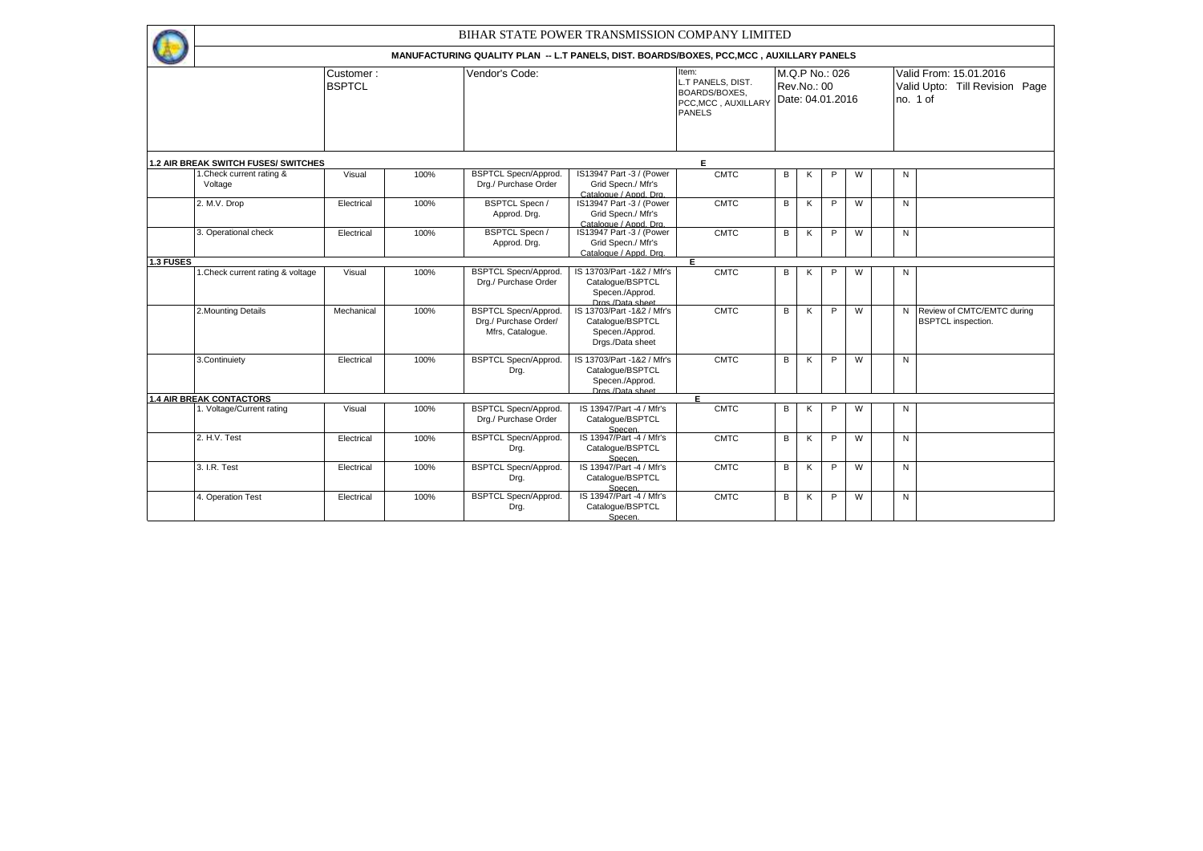|           |                                             |                            |      |                                                                          | BIHAR STATE POWER TRANSMISSION COMPANY LIMITED                                           |                                                                                     |   |             |                                    |   |   |                                                                      |
|-----------|---------------------------------------------|----------------------------|------|--------------------------------------------------------------------------|------------------------------------------------------------------------------------------|-------------------------------------------------------------------------------------|---|-------------|------------------------------------|---|---|----------------------------------------------------------------------|
|           |                                             |                            |      |                                                                          | MANUFACTURING QUALITY PLAN -- L.T PANELS, DIST. BOARDS/BOXES, PCC, MCC, AUXILLARY PANELS |                                                                                     |   |             |                                    |   |   |                                                                      |
|           |                                             | Customer:<br><b>BSPTCL</b> |      | Vendor's Code:                                                           |                                                                                          | Item:<br>L.T PANELS, DIST.<br>BOARDS/BOXES.<br>PCC, MCC, AUXILLARY<br><b>PANELS</b> |   | Rev.No.: 00 | M.Q.P No.: 026<br>Date: 04.01.2016 |   |   | Valid From: 15.01.2016<br>Valid Upto: Till Revision Page<br>no. 1 of |
|           | <b>1.2 AIR BREAK SWITCH FUSES/ SWITCHES</b> |                            |      |                                                                          |                                                                                          | E                                                                                   |   |             |                                    |   |   |                                                                      |
|           | 1. Check current rating &<br>Voltage        | Visual                     | 100% | <b>BSPTCL Specn/Approd.</b><br>Drg./ Purchase Order                      | IS13947 Part -3 / (Power<br>Grid Specn./ Mfr's<br>Catalogue / Appd. Drg.                 | <b>CMTC</b>                                                                         | В | Κ           | P                                  | W | N |                                                                      |
|           | 2. M.V. Drop                                | Electrical                 | 100% | <b>BSPTCL Specn /</b><br>Approd. Drg.                                    | IS13947 Part -3 / (Power<br>Grid Specn./ Mfr's<br>Catalogue / Appd. Drg.                 | <b>CMTC</b>                                                                         | B | K           | P                                  | W | N |                                                                      |
|           | 3. Operational check                        | Electrical                 | 100% | <b>BSPTCL Specn /</b><br>Approd. Drg.                                    | IS13947 Part -3 / (Power<br>Grid Specn./ Mfr's<br>Catalogue / Appd. Drg.                 | <b>CMTC</b>                                                                         | B | K           | P                                  | W | N |                                                                      |
| 1.3 FUSES |                                             |                            |      |                                                                          |                                                                                          | F.                                                                                  |   |             |                                    |   |   |                                                                      |
|           | 1. Check current rating & voltage           | Visual                     | 100% | <b>BSPTCL Specn/Approd.</b><br>Drg./ Purchase Order                      | IS 13703/Part -1&2 / Mfr's<br>Catalogue/BSPTCL<br>Specen./Approd.<br>Dros /Data sheet    | <b>CMTC</b>                                                                         | В | K           | P                                  | W | N |                                                                      |
|           | 2. Mounting Details                         | Mechanical                 | 100% | <b>BSPTCL Specn/Approd.</b><br>Drg./ Purchase Order/<br>Mfrs, Cataloque. | IS 13703/Part -1&2 / Mfr's<br>Catalogue/BSPTCL<br>Specen./Approd.<br>Drgs./Data sheet    | <b>CMTC</b>                                                                         | В | K           | P                                  | W | N | Review of CMTC/EMTC during<br><b>BSPTCL</b> inspection.              |
|           | 3. Continuiety                              | Electrical                 | 100% | <b>BSPTCL Specn/Approd.</b><br>Drg.                                      | IS 13703/Part -1&2 / Mfr's<br>Catalogue/BSPTCL<br>Specen./Approd.<br>Dras /Data sheet    | <b>CMTC</b>                                                                         | В | ĸ           | P                                  | W | N |                                                                      |
|           | <b>1.4 AIR BREAK CONTACTORS</b>             |                            |      |                                                                          |                                                                                          | E                                                                                   |   |             |                                    |   |   |                                                                      |
|           | 1. Voltage/Current rating                   | Visual                     | 100% | <b>BSPTCL Specn/Approd.</b><br>Drg./ Purchase Order                      | IS 13947/Part -4 / Mfr's<br>Catalogue/BSPTCL<br>Specen.                                  | <b>CMTC</b>                                                                         | B | K           | P                                  | W | N |                                                                      |
|           | 2. H.V. Test                                | Electrical                 | 100% | <b>BSPTCL Specn/Approd.</b><br>Drg.                                      | IS 13947/Part -4 / Mfr's<br>Catalogue/BSPTCL<br>Specen.                                  | <b>CMTC</b>                                                                         | В | K           | P                                  | W | N |                                                                      |
|           | 3. I.R. Test                                | Electrical                 | 100% | <b>BSPTCL Specn/Approd.</b><br>Drg.                                      | IS 13947/Part -4 / Mfr's<br>Catalogue/BSPTCL<br>Specen.                                  | <b>CMTC</b>                                                                         | В | Κ           | P                                  | W | N |                                                                      |
|           | 4. Operation Test                           | Electrical                 | 100% | <b>BSPTCL Specn/Approd.</b><br>Drg.                                      | IS 13947/Part -4 / Mfr's<br>Catalogue/BSPTCL<br>Specen.                                  | <b>CMTC</b>                                                                         | В | K           | P                                  | W | N |                                                                      |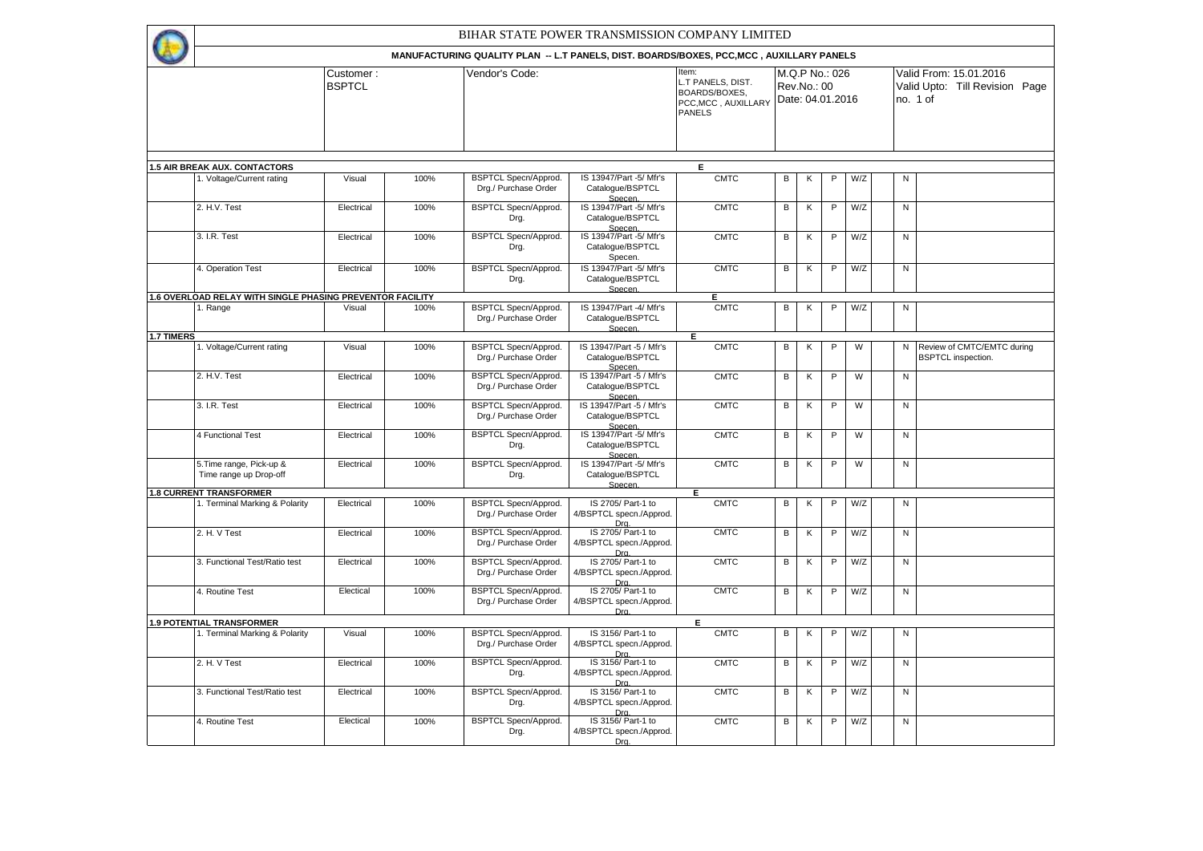|            |                                                           |                            |      | BIHAR STATE POWER TRANSMISSION COMPANY LIMITED                                           |                                                         |                                                                              |                |                                                   |                |     |                |                                                                      |
|------------|-----------------------------------------------------------|----------------------------|------|------------------------------------------------------------------------------------------|---------------------------------------------------------|------------------------------------------------------------------------------|----------------|---------------------------------------------------|----------------|-----|----------------|----------------------------------------------------------------------|
|            |                                                           |                            |      | MANUFACTURING QUALITY PLAN -- L.T PANELS, DIST. BOARDS/BOXES, PCC, MCC, AUXILLARY PANELS |                                                         |                                                                              |                |                                                   |                |     |                |                                                                      |
|            |                                                           | Customer:<br><b>BSPTCL</b> |      | Vendor's Code:                                                                           |                                                         | Item:<br>L.T PANELS, DIST.<br>BOARDS/BOXES.<br>PCC, MCC, AUXILLARY<br>PANELS |                | M.Q.P No.: 026<br>Rev.No.: 00<br>Date: 04.01.2016 |                |     |                | Valid From: 15.01.2016<br>Valid Upto: Till Revision Page<br>no. 1 of |
|            |                                                           |                            |      |                                                                                          |                                                         |                                                                              |                |                                                   |                |     |                |                                                                      |
|            | <b>1.5 AIR BREAK AUX. CONTACTORS</b>                      |                            |      |                                                                                          |                                                         | E                                                                            |                |                                                   |                |     |                |                                                                      |
|            | 1. Voltage/Current rating                                 | Visual                     | 100% | <b>BSPTCL Specn/Approd.</b><br>Drg./ Purchase Order                                      | IS 13947/Part -5/ Mfr's<br>Catalogue/BSPTCL<br>Specen.  | <b>CMTC</b>                                                                  | В              | К                                                 | P              | W/Z | ${\sf N}$      |                                                                      |
|            | 2. H.V. Test                                              | Electrical                 | 100% | <b>BSPTCL Specn/Approd.</b><br>Drg.                                                      | IS 13947/Part -5/ Mfr's<br>Catalogue/BSPTCL<br>Specen.  | <b>CMTC</b>                                                                  | $\overline{B}$ | $\overline{\mathsf{K}}$                           | $\overline{P}$ | W/Z | $\overline{N}$ |                                                                      |
|            | 3. I.R. Test                                              | Electrical                 | 100% | <b>BSPTCL Specn/Approd.</b><br>Drg.                                                      | IS 13947/Part -5/ Mfr's<br>Catalogue/BSPTCL<br>Specen.  | <b>CMTC</b>                                                                  | В              | Κ                                                 | P              | W/Z | ${\sf N}$      |                                                                      |
|            | 4. Operation Test                                         | Electrical                 | 100% | <b>BSPTCL Specn/Approd.</b><br>Drg.                                                      | IS 13947/Part -5/ Mfr's<br>Catalogue/BSPTCL<br>Specen.  | <b>CMTC</b>                                                                  | В              | Κ                                                 | P              | W/Z | N              |                                                                      |
|            | 1.6 OVERLOAD RELAY WITH SINGLE PHASING PREVENTOR FACILITY |                            |      |                                                                                          |                                                         | E.                                                                           |                |                                                   |                |     |                |                                                                      |
|            | 1. Range                                                  | Visual                     | 100% | <b>BSPTCL Specn/Approd.</b><br>Drg./ Purchase Order                                      | IS 13947/Part -4/ Mfr's<br>Catalogue/BSPTCL<br>Specen   | <b>CMTC</b>                                                                  | В              | Κ                                                 | P              | W/Z | ${\sf N}$      |                                                                      |
| 1.7 TIMERS |                                                           |                            |      |                                                                                          |                                                         | Е                                                                            |                |                                                   |                |     |                |                                                                      |
|            | 1. Voltage/Current rating                                 | Visual                     | 100% | <b>BSPTCL Specn/Approd.</b><br>Drg./ Purchase Order                                      | IS 13947/Part -5 / Mfr's<br>Catalogue/BSPTCL<br>Specen. | <b>CMTC</b>                                                                  | В              | Κ                                                 | P              | W   | N              | Review of CMTC/EMTC during<br><b>BSPTCL</b> inspection.              |
|            | 2. H.V. Test                                              | Electrical                 | 100% | <b>BSPTCL Specn/Approd.</b><br>Drg./ Purchase Order                                      | IS 13947/Part -5 / Mfr's<br>Catalogue/BSPTCL<br>Specen. | <b>CMTC</b>                                                                  | В              | Κ                                                 | P              | W   | ${\sf N}$      |                                                                      |
|            | 3. I.R. Test                                              | Electrical                 | 100% | <b>BSPTCL Specn/Approd.</b><br>Drg./ Purchase Order                                      | IS 13947/Part -5 / Mfr's<br>Catalogue/BSPTCL<br>Specen. | <b>CMTC</b>                                                                  | $\overline{B}$ | Κ                                                 | $\overline{P}$ | W   | $\overline{N}$ |                                                                      |
|            | 4 Functional Test                                         | Electrical                 | 100% | <b>BSPTCL Specn/Approd.</b><br>Drg.                                                      | IS 13947/Part -5/ Mfr's<br>Catalogue/BSPTCL<br>Specen.  | <b>CMTC</b>                                                                  | В              | Κ                                                 | P              | W   | ${\sf N}$      |                                                                      |
|            | 5. Time range, Pick-up &<br>Time range up Drop-off        | Electrical                 | 100% | <b>BSPTCL Specn/Approd.</b><br>Drg.                                                      | IS 13947/Part -5/ Mfr's<br>Catalogue/BSPTCL<br>Specen.  | <b>CMTC</b>                                                                  | В              | К                                                 | P              | W   | ${\sf N}$      |                                                                      |
|            | <b>1.8 CURRENT TRANSFORMER</b>                            |                            |      |                                                                                          |                                                         | Е                                                                            |                |                                                   |                |     |                |                                                                      |
|            | 1. Terminal Marking & Polarity                            | Electrical                 | 100% | BSPTCL Specn/Approd.<br>Drg./ Purchase Order                                             | IS 2705/ Part-1 to<br>4/BSPTCL specn./Approd.<br>Dra.   | <b>CMTC</b>                                                                  | В              | Κ                                                 | P              | W/Z | ${\sf N}$      |                                                                      |
|            | 2. H. V Test                                              | Electrical                 | 100% | <b>BSPTCL Specn/Approd.</b><br>Drg./ Purchase Order                                      | IS 2705/ Part-1 to<br>4/BSPTCL specn./Approd.<br>Dra.   | <b>CMTC</b>                                                                  | В              | К                                                 | $\mathsf P$    | W/Z | $\overline{N}$ |                                                                      |
|            | 3. Functional Test/Ratio test                             | Electrical                 | 100% | <b>BSPTCL Specn/Approd.</b><br>Drg./ Purchase Order                                      | IS 2705/ Part-1 to<br>4/BSPTCL specn./Approd.<br>Dra.   | <b>CMTC</b>                                                                  | $\overline{B}$ | К                                                 | $\overline{P}$ | W/Z | $\overline{N}$ |                                                                      |
|            | 4. Routine Test                                           | Electical                  | 100% | <b>BSPTCL Specn/Approd.</b><br>Drg./ Purchase Order                                      | IS 2705/ Part-1 to<br>4/BSPTCL specn./Approd.<br>Dra.   | <b>CMTC</b>                                                                  | В              | К                                                 | $\mathsf{P}$   | W/Z | ${\sf N}$      |                                                                      |
|            | <b>1.9 POTENTIAL TRANSFORMER</b>                          |                            |      |                                                                                          |                                                         | Е                                                                            |                |                                                   |                |     |                |                                                                      |
|            | 1. Terminal Marking & Polarity                            | Visual                     | 100% | <b>BSPTCL Specn/Approd.</b><br>Drg./ Purchase Order                                      | IS 3156/ Part-1 to<br>4/BSPTCL specn./Approd.<br>Dra.   | <b>CMTC</b>                                                                  | В              | Κ                                                 | P              | W/Z | ${\sf N}$      |                                                                      |
|            | 2. H. V Test                                              | Electrical                 | 100% | <b>BSPTCL Specn/Approd.</b><br>Drg.                                                      | IS 3156/ Part-1 to<br>4/BSPTCL specn./Approd.<br>Dra.   | <b>CMTC</b>                                                                  | В              | Κ                                                 | $\mathsf P$    | W/Z | N              |                                                                      |
|            | 3. Functional Test/Ratio test                             | Electrical                 | 100% | BSPTCL Specn/Approd.<br>Drg.                                                             | IS 3156/ Part-1 to<br>4/BSPTCL specn./Approd.<br>Dra.   | <b>CMTC</b>                                                                  | В              | Κ                                                 | P              | W/Z | N              |                                                                      |
|            | 4. Routine Test                                           | Electical                  | 100% | BSPTCL Specn/Approd.<br>Drg.                                                             | IS 3156/ Part-1 to<br>4/BSPTCL specn./Approd.<br>Dra.   | <b>CMTC</b>                                                                  | В              | Κ                                                 | P              | W/Z | ${\sf N}$      |                                                                      |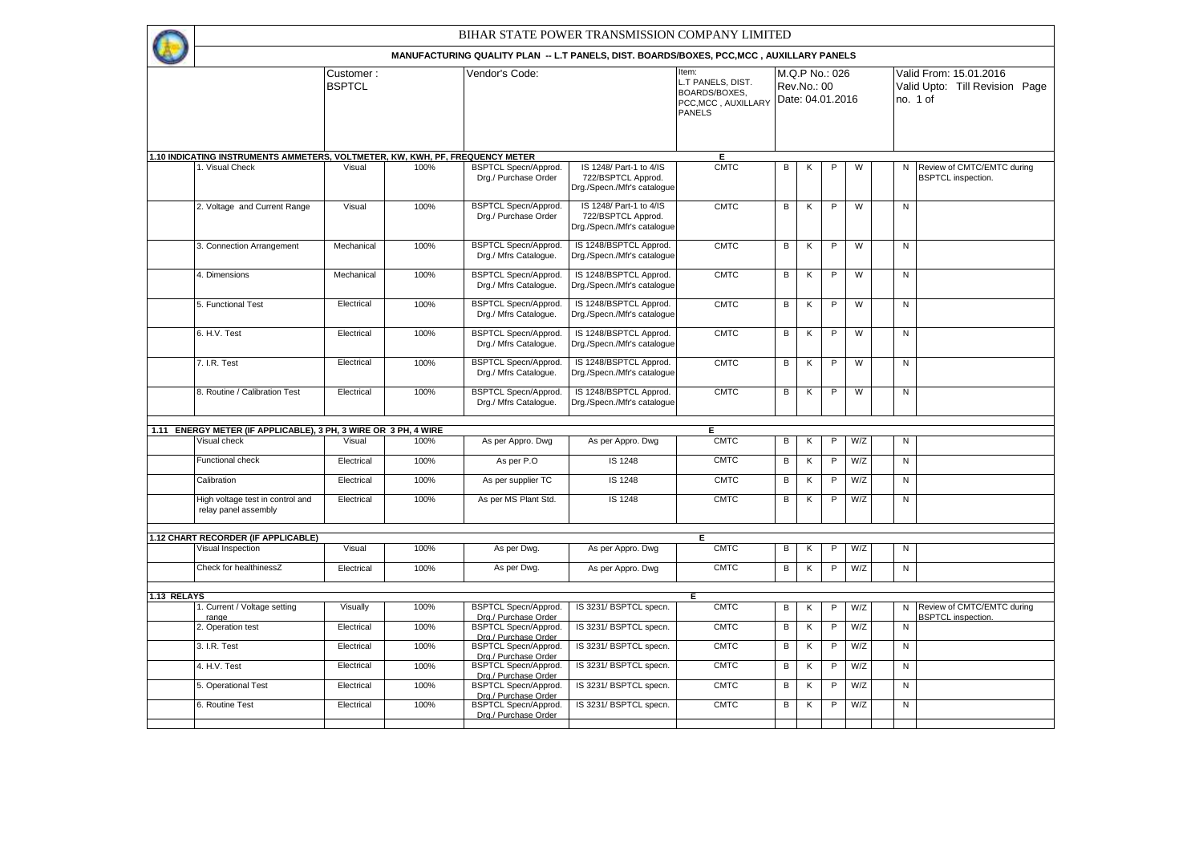**1** 

## BIHAR STATE POWER TRANSMISSION COMPANY LIMITED

|             |                                                                               |                            |      | MANUFACTURING QUALITY PLAN -- L.T PANELS, DIST. BOARDS/BOXES, PCC, MCC, AUXILLARY PANELS |                                                                              |                                                                                   |                |             |                                    |                |              |                                                                      |
|-------------|-------------------------------------------------------------------------------|----------------------------|------|------------------------------------------------------------------------------------------|------------------------------------------------------------------------------|-----------------------------------------------------------------------------------|----------------|-------------|------------------------------------|----------------|--------------|----------------------------------------------------------------------|
|             |                                                                               | Customer:<br><b>BSPTCL</b> |      | Vendor's Code:                                                                           |                                                                              | ltem:<br>T PANELS, DIST.<br>BOARDS/BOXES.<br>PCC, MCC, AUXILLARY<br><b>PANELS</b> |                | Rev.No.: 00 | M.Q.P No.: 026<br>Date: 04.01.2016 |                |              | Valid From: 15.01.2016<br>Valid Upto: Till Revision Page<br>no. 1 of |
|             | 1.10 INDICATING INSTRUMENTS AMMETERS, VOLTMETER, KW, KWH, PF, FREQUENCY METER |                            |      |                                                                                          |                                                                              | Е.                                                                                |                |             |                                    |                |              |                                                                      |
|             | 1. Visual Check                                                               | Visual                     | 100% | <b>BSPTCL Specn/Approd.</b><br>Drg./ Purchase Order                                      | IS 1248/ Part-1 to 4/IS<br>722/BSPTCL Approd.<br>Drg./Specn./Mfr's catalogue | <b>CMTC</b>                                                                       | В              | κ           | P                                  | W              | N            | Review of CMTC/EMTC during<br><b>BSPTCL</b> inspection.              |
|             | 2. Voltage and Current Range                                                  | Visual                     | 100% | <b>BSPTCL Specn/Approd.</b><br>Drg./ Purchase Order                                      | IS 1248/ Part-1 to 4/IS<br>722/BSPTCL Approd.<br>Drg./Specn./Mfr's catalogue | <b>CMTC</b>                                                                       | В              | Κ           | P                                  | W              | N            |                                                                      |
|             | 3. Connection Arrangement                                                     | Mechanical                 | 100% | <b>BSPTCL Specn/Approd.</b><br>Drg./ Mfrs Catalogue.                                     | IS 1248/BSPTCL Approd.<br>Drg./Specn./Mfr's catalogue                        | <b>CMTC</b>                                                                       | B              | Κ           | P                                  | $\overline{W}$ | N            |                                                                      |
|             | 4. Dimensions                                                                 | Mechanical                 | 100% | <b>BSPTCL Specn/Approd.</b><br>Drg./ Mfrs Catalogue.                                     | IS 1248/BSPTCL Approd.<br>Drg./Specn./Mfr's catalogue                        | <b>CMTC</b>                                                                       | $\overline{B}$ | Κ           | P                                  | W              | N            |                                                                      |
|             | 5. Functional Test                                                            | Electrical                 | 100% | <b>BSPTCL Specn/Approd</b><br>Drg./ Mfrs Catalogue.                                      | IS 1248/BSPTCL Approd.<br>Drg./Specn./Mfr's catalogue                        | <b>CMTC</b>                                                                       | $\, {\bf B}$   | К           | P                                  | W              | $\mathsf{N}$ |                                                                      |
|             | 6. H.V. Test                                                                  | Electrical                 | 100% | <b>BSPTCL Specn/Approd.</b><br>Drg./ Mfrs Catalogue.                                     | IS 1248/BSPTCL Approd.<br>Drg./Specn./Mfr's cataloque                        | <b>CMTC</b>                                                                       | $\overline{B}$ | К           | P                                  | W              | N            |                                                                      |
|             | 7. I.R. Test                                                                  | Electrical                 | 100% | <b>BSPTCL Specn/Approd.</b><br>Drg./ Mfrs Catalogue.                                     | IS 1248/BSPTCL Approd.<br>Drg./Specn./Mfr's catalogue                        | <b>CMTC</b>                                                                       | B              | К           | P                                  | W              | N            |                                                                      |
|             | 8. Routine / Calibration Test                                                 | Electrical                 | 100% | <b>BSPTCL Specn/Approd.</b><br>Drg./ Mfrs Catalogue.                                     | IS 1248/BSPTCL Approd.<br>Drg./Specn./Mfr's catalogue                        | <b>CMTC</b>                                                                       | В              | Κ           | $\mathsf P$                        | W              | $\mathsf{N}$ |                                                                      |
|             | 1.11 ENERGY METER (IF APPLICABLE), 3 PH, 3 WIRE OR 3 PH, 4 WIRE               |                            |      |                                                                                          |                                                                              | Ε                                                                                 |                |             |                                    |                |              |                                                                      |
|             | Visual check                                                                  | Visual                     | 100% | As per Appro. Dwg                                                                        | As per Appro. Dwg                                                            | <b>CMTC</b>                                                                       | В              | Κ           | P                                  | W/Z            | $\mathsf{N}$ |                                                                      |
|             | Functional check                                                              | Electrical                 | 100% | As per P.O.                                                                              | IS 1248                                                                      | <b>CMTC</b>                                                                       | В              | К           | $\mathsf{P}$                       | W/Z            | N            |                                                                      |
|             | Calibration                                                                   | Electrical                 | 100% | As per supplier TC                                                                       | IS 1248                                                                      | <b>CMTC</b>                                                                       | В              | Κ           | P                                  | W/Z            | N            |                                                                      |
|             | High voltage test in control and<br>relay panel assembly                      | Electrical                 | 100% | As per MS Plant Std.                                                                     | IS 1248                                                                      | <b>CMTC</b>                                                                       | В              | Κ           | P                                  | W/Z            | N            |                                                                      |
|             | 1.12 CHART RECORDER (IF APPLICABLE)                                           |                            |      |                                                                                          |                                                                              | Е                                                                                 |                |             |                                    |                |              |                                                                      |
|             | Visual Inspection                                                             | Visual                     | 100% | As per Dwg.                                                                              | As per Appro. Dwg                                                            | <b>CMTC</b>                                                                       | В              | Κ           | P                                  | W/Z            | ${\sf N}$    |                                                                      |
|             | Check for healthinessZ                                                        | Electrical                 | 100% | As per Dwg.                                                                              | As per Appro. Dwg                                                            | <b>CMTC</b>                                                                       | B              | К           | P                                  | W/Z            | N            |                                                                      |
| 1.13 RELAYS |                                                                               |                            |      |                                                                                          |                                                                              |                                                                                   |                |             |                                    |                |              |                                                                      |
|             | 1. Current / Voltage setting<br>range                                         | Visually                   | 100% | BSPTCL Specn/Approd.<br>Drg./ Purchase Order                                             | IS 3231/ BSPTCL specn.                                                       | E.<br><b>CMTC</b>                                                                 | В              | Κ           | P                                  | W/Z            | N            | Review of CMTC/EMTC during<br><b>BSPTCL</b> inspection.              |
|             | 2. Operation test                                                             | Electrical                 | 100% | <b>BSPTCL Specn/Approd.</b><br>Dra./ Purchase Order                                      | IS 3231/ BSPTCL specn.                                                       | <b>CMTC</b>                                                                       | В              | К           | $\mathsf{P}$                       | W/Z            | ${\sf N}$    |                                                                      |
|             | 3. I.R. Test                                                                  | Electrical                 | 100% | <b>BSPTCL Specn/Approd.</b><br>Drg./ Purchase Order                                      | IS 3231/ BSPTCL specn.                                                       | <b>CMTC</b>                                                                       | В              | Κ           | $\mathsf{P}$                       | W/Z            | $\mathsf{N}$ |                                                                      |
|             | 4. H.V. Test                                                                  | Electrical                 | 100% | <b>BSPTCL Specn/Approd.</b><br>Drg./ Purchase Order                                      | IS 3231/ BSPTCL specn.                                                       | <b>CMTC</b>                                                                       | В              | Κ           | P                                  | W/Z            | N            |                                                                      |
|             | 5. Operational Test                                                           | Electrical                 | 100% | <b>BSPTCL Specn/Approd.</b><br>Drg./ Purchase Order                                      | IS 3231/ BSPTCL specn.                                                       | <b>CMTC</b>                                                                       | В              | Κ           | $\mathsf{P}$                       | W/Z            | $\mathsf N$  |                                                                      |
|             | 6. Routine Test                                                               | Electrical                 | 100% | <b>BSPTCL Specn/Approd.</b><br>Drg./ Purchase Order                                      | IS 3231/ BSPTCL specn.                                                       | <b>CMTC</b>                                                                       | В              | Κ           | $\mathsf{P}$                       | W/Z            | $\mathsf{N}$ |                                                                      |
|             |                                                                               |                            |      |                                                                                          |                                                                              |                                                                                   |                |             |                                    |                |              |                                                                      |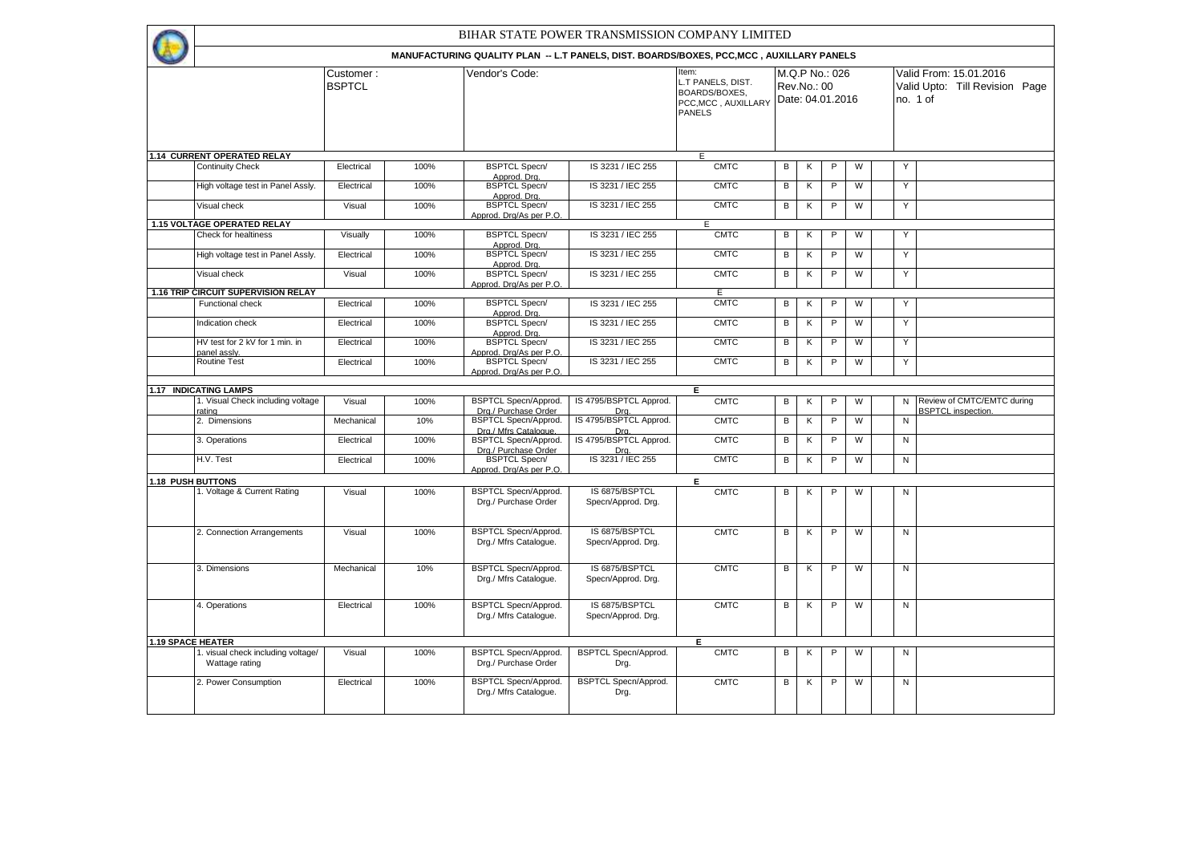Item: **L.T PANELS, DIST.** BOARDS/BOXES, PCC,MCC , AUXILLARY PANELS Valid From: 15.01.2016 Valid Upto: Till Revision Page no. 1 of Customer : **BSPTCL** Vendor's Code: M.Q.P No.: 026 Rev.No.: 00 Date: 04.01.2016 BIHAR STATE POWER TRANSMISSION COMPANY LIMITED **MANUFACTURING QUALITY PLAN -- L.T PANELS, DIST. BOARDS/BOXES, PCC,MCC , AUXILLARY PANELS**  Continuity Check Electrical 100% BSPTCL Specn/ Approd. Drg.<br>BSPTCL Specn/  $\vert$  IS 3231/IEC 255 CMTC B K P W Y High voltage test in Panel Assly. Electrical 100% Approd. Drg. IS 3231 / IEC 255 CMTC B K P W Y Visual check Visual 100% BSPTCL Specn/ pprod. Drg/As per P.O.  $\overline{18}$  3231/IEC 255 CMTC B K P W Y Check for healtiness Visually 100% BSPTCL Specn/ Approd. Drg.<br>BSPTCL Specn/  $\vert$  IS 3231/IEC 255  $\vert$  CMTC B K P W Y High voltage test in Panel Assly. Electrical 100% Approd. Drg. IS 3231 / IEC 255 CMTC B K P W Y Visual check **Visual 100%** BSPTCL Specn/ Approd. Drg/As per P.O.  $\overline{18}$  3231/IEC 255 CMTC B K P W Y Functional check **Electrical 100%** BSPTCL Specn/ Approd. Drg.  $\vert$  IS 3231/IEC 255  $\vert$  CMTC B K P W Y Indication check **Electrical** Electrical 100% BSPTCL Specn/ Approd. Drg.  $\vert$  IS 3231/IEC 255  $\vert$  CMTC B K P W Y HV test for 2 kV for 1 min. in panel assly.<br>Routine Test Electrical 100% BSPTCL Specn/ Approd. Drg/As per P.O. IS 3231/IEC 255 CMTC B K P W Y Electrical 100% BSPTCL Specn/ Approd. Drg/As per P.O. IS 3231 / IEC 255 CMTC B K P W Y 1. Visual Check including voltage rating<br>2. Dimensions Visual 100% BSPTCL Specn/Approd. Drg./ Purchase Order IS 4795/BSPTCL Approd. Drg. CMTC B K P W N Review of CMTC/EMTC during BSPTCL inspection. Mechanical 10% BSPTCL Specn/Approd. Drg./ Mfrs Catalogue. IS 4795/BSPTCL Approd. Drg. CMTC B K P W N 3. Operations Electrical 100% BSPTCL Specn/Approd. Drg./ Purchase Order IS 4795/BSPTCL Approd. Drg. CMTC B K P W N H.V. Test Electrical 100% BSPTCL Specn/ Approd. Drg/As per P.O.  $\overline{183231/IEC255}$  CMTC B K P W N 1. Voltage & Current Rating Visual 100% BSPTCL Specn/Approd. Drg./ Purchase Order IS 6875/BSPTCL Specn/Approd. Drg. CMTC B K P W N 2. Connection Arrangements Visual 100% BSPTCL Specn/Approd. Drg./ Mfrs Catalogue. IS 6875/BSPTCL Specn/Approd. Drg. CMTC B K P W N 3. Dimensions Mechanical 10% BSPTCL Specn/Approd. Drg./ Mfrs Catalogue. IS 6875/BSPTCL Specn/Approd. Drg.  $CMTC$  B  $K$  P W  $\vert$  N 4. Operations **Electrical** Electrical 100% BSPTCL Specn/Approd. Drg./ Mfrs Catalogue. IS 6875/BSPTCL Specn/Approd. Drg.  $CMTC$  B K P W N . visual check including voltage/ Wattage rating Visual 100% BSPTCL Specn/Approd. Drg./ Purchase Order BSPTCL Specn/Approd. Drg. CMTC B K P W I N 2. Power Consumption **Electrical** 100% BSPTCL Specn/Approd. Drg./ Mfrs Catalogue. BSPTCL Specn/Approd. Drg. CMTC B K P W N **1.19 SPACE HEATER E 1.15 VOLTAGE OPERATED RELAY 1.16 TRIP CIRCUIT SUPERVISION RELAY** E **1.14 CURRENT OPERATED RELAY** E **1.17 INDICATING LAMPS E 1.18 PUSH BUTTONS E**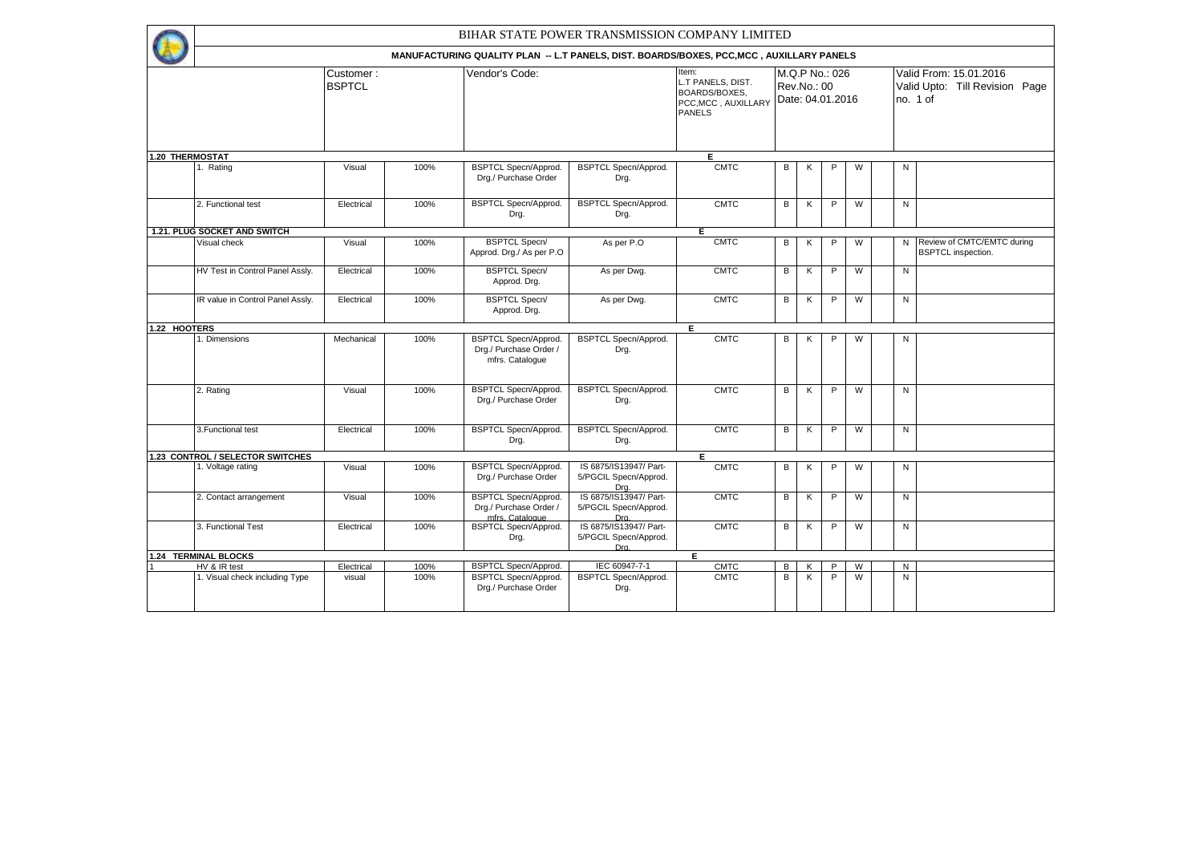|              |                                  |                            |      | BIHAR STATE POWER TRANSMISSION COMPANY LIMITED                                           |                                                                      |                                                                                     |   |                                                   |   |                |              |                                                                      |
|--------------|----------------------------------|----------------------------|------|------------------------------------------------------------------------------------------|----------------------------------------------------------------------|-------------------------------------------------------------------------------------|---|---------------------------------------------------|---|----------------|--------------|----------------------------------------------------------------------|
|              |                                  |                            |      | MANUFACTURING QUALITY PLAN -- L.T PANELS, DIST. BOARDS/BOXES, PCC, MCC, AUXILLARY PANELS |                                                                      |                                                                                     |   |                                                   |   |                |              |                                                                      |
|              |                                  | Customer:<br><b>BSPTCL</b> |      | Vendor's Code:                                                                           |                                                                      | Item:<br>L.T PANELS, DIST.<br>BOARDS/BOXES.<br>PCC, MCC, AUXILLARY<br><b>PANELS</b> |   | M.Q.P No.: 026<br>Rev.No.: 00<br>Date: 04.01.2016 |   |                |              | Valid From: 15.01.2016<br>Valid Upto: Till Revision Page<br>no. 1 of |
|              | <b>1.20 THERMOSTAT</b>           |                            |      |                                                                                          |                                                                      | Ε                                                                                   |   |                                                   |   |                |              |                                                                      |
|              | 1. Rating                        | Visual                     | 100% | <b>BSPTCL Specn/Approd.</b><br>Drg./ Purchase Order                                      | <b>BSPTCL Specn/Approd.</b><br>Drg.                                  | <b>CMTC</b>                                                                         | В | Κ                                                 | P | W              | N            |                                                                      |
|              | 2. Functional test               | Electrical                 | 100% | <b>BSPTCL Specn/Approd.</b><br>Drg.                                                      | <b>BSPTCL Specn/Approd.</b><br>Drg.                                  | <b>CMTC</b>                                                                         | В | Κ                                                 | P | W              | N            |                                                                      |
|              | 1.21. PLUG SOCKET AND SWITCH     |                            |      |                                                                                          |                                                                      | Ε                                                                                   |   |                                                   |   |                |              |                                                                      |
|              | Visual check                     | Visual                     | 100% | <b>BSPTCL Specn/</b><br>Approd. Drg./ As per P.O                                         | As per P.O                                                           | <b>CMTC</b>                                                                         | В | К                                                 | P | W              |              | N Review of CMTC/EMTC during<br><b>BSPTCL</b> inspection.            |
|              | HV Test in Control Panel Assly.  | Electrical                 | 100% | <b>BSPTCL Specn/</b><br>Approd. Drg.                                                     | As per Dwg.                                                          | <b>CMTC</b>                                                                         | В | Κ                                                 | P | $\overline{W}$ | N            |                                                                      |
|              | IR value in Control Panel Assly. | Electrical                 | 100% | <b>BSPTCL Specn/</b><br>Approd. Drg.                                                     | As per Dwg.                                                          | <b>CMTC</b>                                                                         | В | K                                                 | P | W              | N            |                                                                      |
| 1.22 HOOTERS |                                  |                            |      |                                                                                          |                                                                      | $\overline{E}$                                                                      |   |                                                   |   |                |              |                                                                      |
|              | . Dimensions                     | Mechanical                 | 100% | <b>BSPTCL Specn/Approd.</b><br>Drg./ Purchase Order /<br>mfrs. Cataloque                 | <b>BSPTCL Specn/Approd.</b><br>Drg.                                  | <b>CMTC</b>                                                                         | В | K                                                 | P | W              | N            |                                                                      |
|              | 2. Rating                        | Visual                     | 100% | <b>BSPTCL Specn/Approd.</b><br>Drg./ Purchase Order                                      | <b>BSPTCL Specn/Approd.</b><br>Drg.                                  | <b>CMTC</b>                                                                         | В | K                                                 | P | W              | N            |                                                                      |
|              | 3. Functional test               | Electrical                 | 100% | <b>BSPTCL Specn/Approd.</b><br>Drg.                                                      | <b>BSPTCL Specn/Approd.</b><br>Drg.                                  | <b>CMTC</b>                                                                         | В | K                                                 | P | W              | $\mathsf{N}$ |                                                                      |
|              | 1.23 CONTROL / SELECTOR SWITCHES |                            |      |                                                                                          |                                                                      | Е                                                                                   |   |                                                   |   |                |              |                                                                      |
|              | 1. Voltage rating                | Visual                     | 100% | <b>BSPTCL Specn/Approd.</b><br>Drg./ Purchase Order                                      | IS 6875/IS13947/ Part-<br>5/PGCIL Specn/Approd.<br>Dra.              | <b>CMTC</b>                                                                         | В | К                                                 | P | W              | N            |                                                                      |
|              | 2. Contact arrangement           | Visual                     | 100% | <b>BSPTCL Specn/Approd.</b><br>Drg./ Purchase Order /<br>mfrs. Catalogue                 | IS 6875/IS13947/ Part-<br>5/PGCIL Specn/Approd.<br>Dra.              | <b>CMTC</b>                                                                         | В | К                                                 | P | W              | $\mathsf{N}$ |                                                                      |
|              | 3. Functional Test               | Electrical                 | 100% | <b>BSPTCL Specn/Approd.</b><br>Drg.                                                      | IS 6875/IS13947/ Part-<br>5/PGCIL Specn/Approd.<br>$\overline{D}$ ra | <b>CMTC</b>                                                                         | В | Κ                                                 | P | W              | N            |                                                                      |
|              | 1.24 TERMINAL BLOCKS             |                            |      |                                                                                          |                                                                      | E.                                                                                  |   |                                                   |   |                |              |                                                                      |
|              | HV & IR test                     | Electrical                 | 100% | <b>BSPTCL Specn/Approd.</b>                                                              | IEC 60947-7-1                                                        | <b>CMTC</b>                                                                         | В | K                                                 | P | W              | N            |                                                                      |
|              | 1. Visual check including Type   | visual                     | 100% | <b>BSPTCL Specn/Approd.</b><br>Drg./ Purchase Order                                      | <b>BSPTCL Specn/Approd.</b><br>Drg.                                  | <b>CMTC</b>                                                                         | В | K                                                 | P | W              | N            |                                                                      |
|              |                                  |                            |      |                                                                                          |                                                                      |                                                                                     |   |                                                   |   |                |              |                                                                      |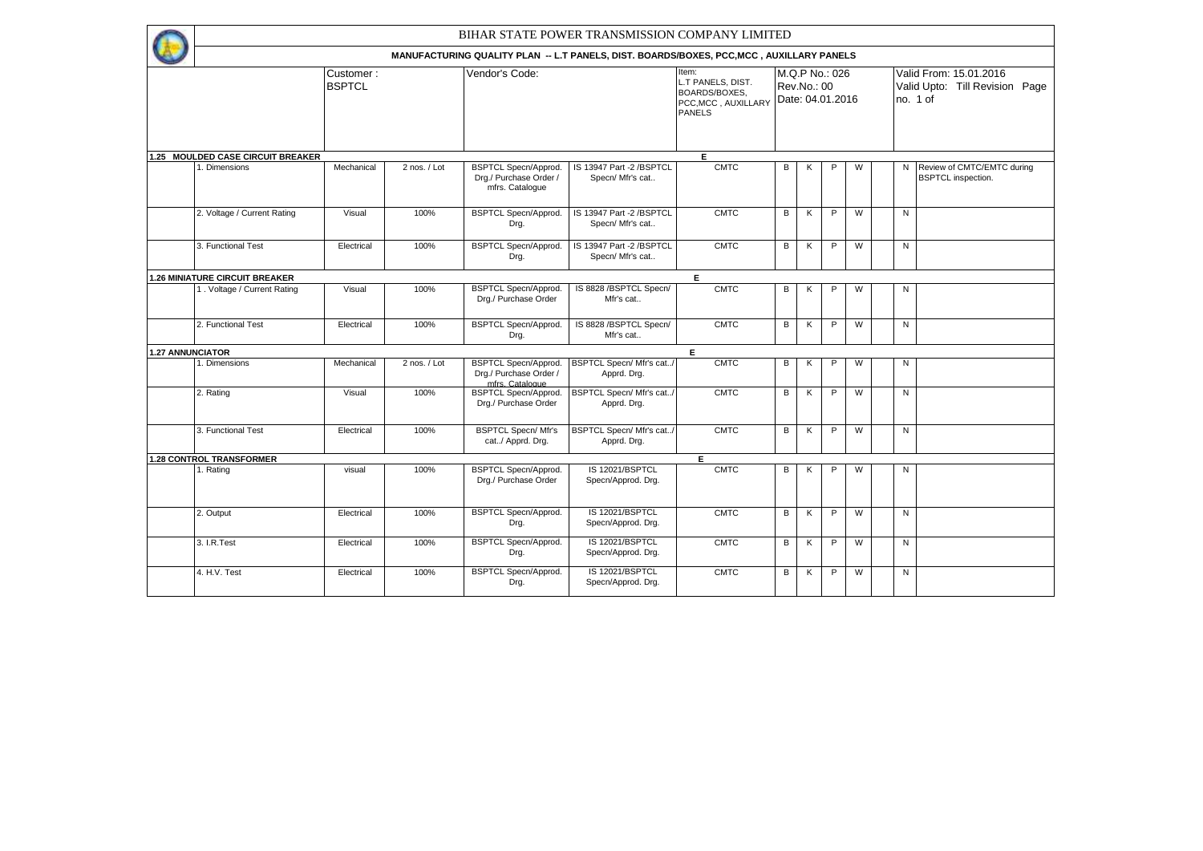|                                   |                            |              | BIHAR STATE POWER TRANSMISSION COMPANY LIMITED                                           |                                              |                                                                                     |                                 |   |                |   |              |                                                                      |
|-----------------------------------|----------------------------|--------------|------------------------------------------------------------------------------------------|----------------------------------------------|-------------------------------------------------------------------------------------|---------------------------------|---|----------------|---|--------------|----------------------------------------------------------------------|
|                                   |                            |              | MANUFACTURING QUALITY PLAN -- L.T PANELS, DIST. BOARDS/BOXES, PCC, MCC, AUXILLARY PANELS |                                              |                                                                                     |                                 |   |                |   |              |                                                                      |
|                                   | Customer:<br><b>BSPTCL</b> |              | Vendor's Code:                                                                           |                                              | Item:<br>L.T PANELS, DIST.<br>BOARDS/BOXES,<br>PCC, MCC, AUXILLARY<br><b>PANELS</b> | Rev.No.: 00<br>Date: 04.01.2016 |   | M.Q.P No.: 026 |   |              | Valid From: 15.01.2016<br>Valid Upto: Till Revision Page<br>no. 1 of |
| 1.25 MOULDED CASE CIRCUIT BREAKER |                            |              |                                                                                          |                                              | E                                                                                   |                                 |   |                |   |              |                                                                      |
| 1. Dimensions                     | Mechanical                 | 2 nos. / Lot | <b>BSPTCL Specn/Approd.</b><br>Drg./ Purchase Order /<br>mfrs. Catalogue                 | IS 13947 Part -2 /BSPTCL<br>Specn/ Mfr's cat | <b>CMTC</b>                                                                         | B                               | Κ | P              | W |              | N Review of CMTC/EMTC during<br><b>BSPTCL</b> inspection.            |
| 2. Voltage / Current Rating       | Visual                     | 100%         | <b>BSPTCL Specn/Approd.</b><br>Drg.                                                      | IS 13947 Part -2 /BSPTCL<br>Specn/ Mfr's cat | <b>CMTC</b>                                                                         | B                               | K | P              | W | N            |                                                                      |
| 3. Functional Test                | Electrical                 | 100%         | BSPTCL Specn/Approd.<br>Drg.                                                             | IS 13947 Part -2 /BSPTCL<br>Specn/ Mfr's cat | <b>CMTC</b>                                                                         | B                               | К | P              | W | $\mathsf{N}$ |                                                                      |
| .26 MINIATURE CIRCUIT BREAKER     |                            |              |                                                                                          |                                              | E                                                                                   |                                 |   |                |   |              |                                                                      |
| 1. Voltage / Current Rating       | Visual                     | 100%         | <b>BSPTCL Specn/Approd.</b><br>Drg./ Purchase Order                                      | IS 8828 / BSPTCL Specn/<br>Mfr's cat         | <b>CMTC</b>                                                                         | В                               | K | P              | W | N            |                                                                      |
| 2. Functional Test                | Electrical                 | 100%         | <b>BSPTCL Specn/Approd.</b><br>Drg.                                                      | IS 8828 / BSPTCL Specn/<br>Mfr's cat         | <b>CMTC</b>                                                                         | В                               | K | P              | W | N            |                                                                      |
| <b>1.27 ANNUNCIATOR</b>           |                            |              |                                                                                          |                                              | E                                                                                   |                                 |   |                |   |              |                                                                      |
| 1. Dimensions                     | Mechanical                 | 2 nos. / Lot | <b>BSPTCL Specn/Approd.</b><br>Drg./ Purchase Order /<br>mfrs. Catalogue                 | BSPTCL Specn/ Mfr's cat/<br>Apprd. Drg.      | <b>CMTC</b>                                                                         | В                               | Κ | P              | W | N            |                                                                      |
| 2. Rating                         | Visual                     | 100%         | <b>BSPTCL Specn/Approd.</b><br>Drg./ Purchase Order                                      | BSPTCL Specn/ Mfr's cat/<br>Apprd. Drg.      | <b>CMTC</b>                                                                         | B                               | K | P              | W | N            |                                                                      |
| 3. Functional Test                | Electrical                 | 100%         | <b>BSPTCL Specn/Mfr's</b><br>cat/ Apprd. Drg.                                            | BSPTCL Specn/ Mfr's cat/<br>Apprd. Drg.      | <b>CMTC</b>                                                                         | В                               | К | P              | W | $\mathsf{N}$ |                                                                      |
| <b>1.28 CONTROL TRANSFORMER</b>   |                            |              |                                                                                          |                                              | E                                                                                   |                                 |   |                |   |              |                                                                      |
| 1. Rating                         | visual                     | 100%         | <b>BSPTCL Specn/Approd.</b><br>Drg./ Purchase Order                                      | IS 12021/BSPTCL<br>Specn/Approd. Drg.        | <b>CMTC</b>                                                                         | B                               | К | P              | W | N            |                                                                      |
| 2. Output                         | Electrical                 | 100%         | <b>BSPTCL Specn/Approd.</b><br>Drg.                                                      | IS 12021/BSPTCL<br>Specn/Approd. Drg.        | <b>CMTC</b>                                                                         | B                               | K | P              | W | N            |                                                                      |
| 3. I.R.Test                       | Electrical                 | 100%         | <b>BSPTCL Specn/Approd.</b><br>Drg.                                                      | IS 12021/BSPTCL<br>Specn/Approd. Drg.        | <b>CMTC</b>                                                                         | В                               | K | P              | W | N            |                                                                      |
| 4. H.V. Test                      | Electrical                 | 100%         | <b>BSPTCL Specn/Approd.</b><br>Drg.                                                      | IS 12021/BSPTCL<br>Specn/Approd. Drg.        | <b>CMTC</b>                                                                         | В                               | Κ | P              | W | N            |                                                                      |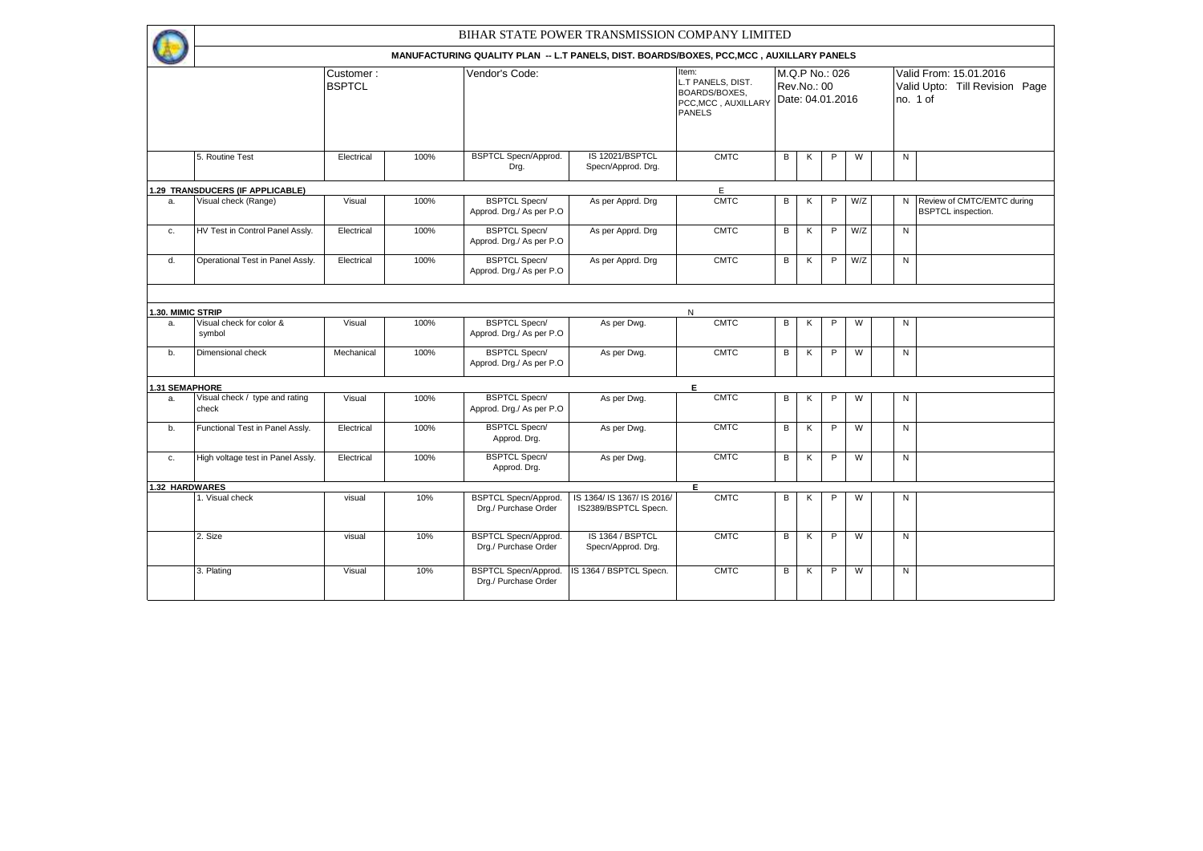|                   |                                         |                            |      | BIHAR STATE POWER TRANSMISSION COMPANY LIMITED                                           |                                                    |                                                                                            |                                                   |   |   |     |           |                                                          |
|-------------------|-----------------------------------------|----------------------------|------|------------------------------------------------------------------------------------------|----------------------------------------------------|--------------------------------------------------------------------------------------------|---------------------------------------------------|---|---|-----|-----------|----------------------------------------------------------|
|                   |                                         |                            |      | MANUFACTURING QUALITY PLAN -- L.T PANELS, DIST. BOARDS/BOXES, PCC, MCC, AUXILLARY PANELS |                                                    |                                                                                            |                                                   |   |   |     |           |                                                          |
|                   |                                         | Customer:<br><b>BSPTCL</b> |      | Vendor's Code:                                                                           |                                                    | Item:<br>L.T PANELS, DIST.<br><b>BOARDS/BOXES,</b><br>PCC, MCC, AUXILLARY<br><b>PANELS</b> | M.Q.P No.: 026<br>Rev.No.: 00<br>Date: 04.01.2016 |   |   |     | no. 1 of  | Valid From: 15.01.2016<br>Valid Upto: Till Revision Page |
|                   | 5. Routine Test                         | Electrical                 | 100% | <b>BSPTCL Specn/Approd.</b><br>Drg.                                                      | IS 12021/BSPTCL<br>Specn/Approd. Drg.              | <b>CMTC</b>                                                                                | В                                                 | К | P | W   | ${\sf N}$ |                                                          |
|                   | 1.29 TRANSDUCERS (IF APPLICABLE)        |                            |      |                                                                                          |                                                    | E                                                                                          |                                                   |   |   |     |           |                                                          |
| a.                | Visual check (Range)                    | Visual                     | 100% | <b>BSPTCL Specn/</b><br>Approd. Drg./ As per P.O.                                        | As per Apprd. Drg                                  | <b>CMTC</b>                                                                                | В                                                 | Κ | P | W/Z | N         | Review of CMTC/EMTC during<br><b>BSPTCL</b> inspection.  |
| c.                | HV Test in Control Panel Assly.         | Electrical                 | 100% | <b>BSPTCL Specn/</b><br>Approd. Drg./ As per P.O.                                        | As per Apprd. Drg                                  | <b>CMTC</b>                                                                                | В                                                 | К | P | W/Z | N         |                                                          |
| d.                | Operational Test in Panel Assly.        | Electrical                 | 100% | <b>BSPTCL Specn/</b><br>Approd. Drg./ As per P.O.                                        | As per Apprd. Drg                                  | <b>CMTC</b>                                                                                | В                                                 | К | P | W/Z | N         |                                                          |
|                   |                                         |                            |      |                                                                                          |                                                    |                                                                                            |                                                   |   |   |     |           |                                                          |
| 1.30. MIMIC STRIP |                                         |                            |      |                                                                                          |                                                    | $\mathsf{N}$                                                                               |                                                   |   |   |     |           |                                                          |
| a.                | Visual check for color &<br>symbol      | Visual                     | 100% | <b>BSPTCL Specn/</b><br>Approd. Drg./ As per P.O.                                        | As per Dwg.                                        | <b>CMTC</b>                                                                                | В                                                 | Κ | P | W   | N         |                                                          |
| b.                | Dimensional check                       | Mechanical                 | 100% | <b>BSPTCL Specn/</b><br>Approd. Drg./ As per P.O.                                        | As per Dwg.                                        | <b>CMTC</b>                                                                                | B                                                 | К | P | W   | N         |                                                          |
| 1.31 SEMAPHORE    |                                         |                            |      |                                                                                          |                                                    | E.                                                                                         |                                                   |   |   |     |           |                                                          |
| a.                | Visual check / type and rating<br>check | Visual                     | 100% | <b>BSPTCL Specn/</b><br>Approd. Drg./ As per P.O.                                        | As per Dwg.                                        | <b>CMTC</b>                                                                                | B                                                 | K | P | W   | N         |                                                          |
| b.                | Functional Test in Panel Assly.         | Electrical                 | 100% | <b>BSPTCL Specn/</b><br>Approd. Drg.                                                     | As per Dwg.                                        | <b>CMTC</b>                                                                                | В                                                 | K | P | W   | ${\sf N}$ |                                                          |
| c.                | High voltage test in Panel Assly.       | Electrical                 | 100% | <b>BSPTCL Specn/</b><br>Approd. Drg.                                                     | As per Dwg.                                        | <b>CMTC</b>                                                                                | B                                                 | K | P | W   | N         |                                                          |
|                   | 1.32 HARDWARES                          |                            |      |                                                                                          |                                                    | $\overline{E}$                                                                             |                                                   |   |   |     |           |                                                          |
|                   | 1. Visual check                         | visual                     | 10%  | <b>BSPTCL Specn/Approd.</b><br>Drg./ Purchase Order                                      | IS 1364/ IS 1367/ IS 2016/<br>IS2389/BSPTCL Specn. | <b>CMTC</b>                                                                                | В                                                 | К | P | W   | N         |                                                          |
|                   | 2. Size                                 | visual                     | 10%  | <b>BSPTCL Specn/Approd.</b><br>Drg./ Purchase Order                                      | IS 1364 / BSPTCL<br>Specn/Approd. Drg.             | <b>CMTC</b>                                                                                | В                                                 | K | P | W   | N         |                                                          |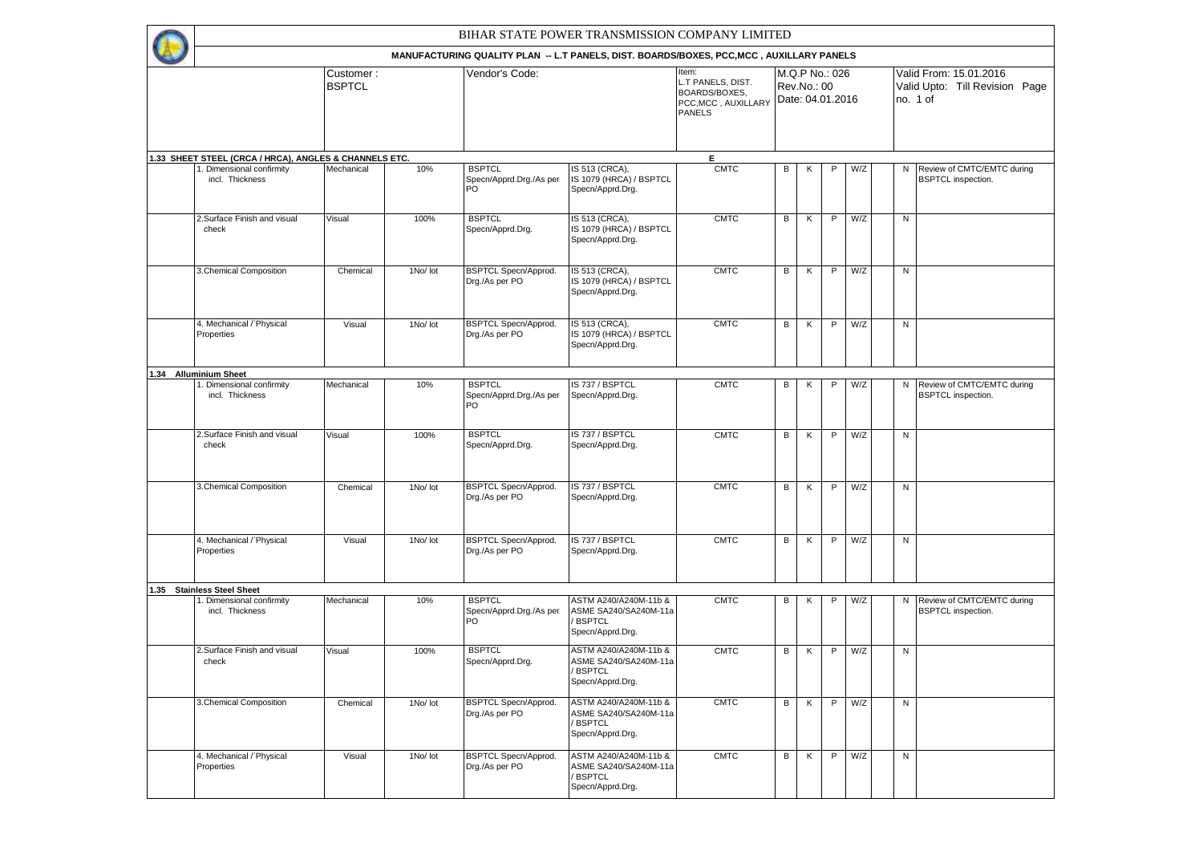|                                                                                                       |                            |          |                                                                                                            | BIHAR STATE POWER TRANSMISSION COMPANY LIMITED                                      |                                                                                     |   |             |                                    |     |              |                                                                      |
|-------------------------------------------------------------------------------------------------------|----------------------------|----------|------------------------------------------------------------------------------------------------------------|-------------------------------------------------------------------------------------|-------------------------------------------------------------------------------------|---|-------------|------------------------------------|-----|--------------|----------------------------------------------------------------------|
|                                                                                                       | Customer:<br><b>BSPTCL</b> |          | MANUFACTURING QUALITY PLAN -- L.T PANELS, DIST. BOARDS/BOXES, PCC, MCC, AUXILLARY PANELS<br>Vendor's Code: |                                                                                     | Item:<br>L.T PANELS, DIST.<br>BOARDS/BOXES,<br>PCC, MCC, AUXILLARY<br><b>PANELS</b> |   | Rev.No.: 00 | M.Q.P No.: 026<br>Date: 04.01.2016 |     |              | Valid From: 15.01.2016<br>Valid Upto: Till Revision Page<br>no. 1 of |
|                                                                                                       |                            |          |                                                                                                            |                                                                                     |                                                                                     |   |             |                                    |     |              |                                                                      |
| 1.33 SHEET STEEL (CRCA / HRCA), ANGLES & CHANNELS ETC.<br>. Dimensional confirmity<br>incl. Thickness | Mechanical                 | 10%      | <b>BSPTCL</b><br>Specn/Apprd.Drg./As per<br><b>PO</b>                                                      | IS 513 (CRCA),<br>IS 1079 (HRCA) / BSPTCL<br>Specn/Apprd.Drg.                       | E.<br><b>CMTC</b>                                                                   | В | Κ           | P                                  | W/Z |              | N Review of CMTC/EMTC during<br><b>BSPTCL</b> inspection.            |
| 2.Surface Finish and visual<br>check                                                                  | Visual                     | 100%     | <b>BSPTCL</b><br>Specn/Apprd.Drg.                                                                          | IS 513 (CRCA),<br>IS 1079 (HRCA) / BSPTCL<br>Specn/Apprd.Drg.                       | <b>CMTC</b>                                                                         | В | K           | $\mathsf{P}$                       | W/Z | ${\sf N}$    |                                                                      |
| 3. Chemical Composition                                                                               | Chemical                   | 1No/ lot | <b>BSPTCL Specn/Approd.</b><br>Drg./As per PO                                                              | IS 513 (CRCA),<br>IS 1079 (HRCA) / BSPTCL<br>Specn/Apprd.Drg.                       | <b>CMTC</b>                                                                         | В | Κ           | P                                  | W/Z | ${\sf N}$    |                                                                      |
| 4. Mechanical / Physical<br>Properties                                                                | Visual                     | 1No/ lot | <b>BSPTCL Specn/Approd.</b><br>Drg./As per PO                                                              | IS 513 (CRCA),<br>IS 1079 (HRCA) / BSPTCL<br>Specn/Apprd.Drg.                       | <b>CMTC</b>                                                                         | В | Κ           | P                                  | W/Z | ${\sf N}$    |                                                                      |
| 1.34 Alluminium Sheet                                                                                 |                            |          |                                                                                                            |                                                                                     |                                                                                     |   |             |                                    |     |              |                                                                      |
| Dimensional confirmity<br>incl. Thickness                                                             | Mechanical                 | 10%      | <b>BSPTCL</b><br>Specn/Apprd.Drg./As per<br>PO                                                             | IS 737 / BSPTCL<br>Specn/Apprd.Drg.                                                 | <b>CMTC</b>                                                                         | В | Κ           | P                                  | W/Z | N            | Review of CMTC/EMTC during<br><b>BSPTCL</b> inspection.              |
| 2.Surface Finish and visual<br>check                                                                  | Visual                     | 100%     | <b>BSPTCL</b><br>Specn/Apprd.Drg.                                                                          | IS 737 / BSPTCL<br>Specn/Apprd.Drg.                                                 | <b>CMTC</b>                                                                         | B | Κ           | P                                  | W/Z | $\mathsf{N}$ |                                                                      |
| 3. Chemical Composition                                                                               | Chemical                   | 1No/ lot | <b>BSPTCL Specn/Approd.</b><br>Drg./As per PO                                                              | IS 737 / BSPTCL<br>Specn/Apprd.Drg.                                                 | <b>CMTC</b>                                                                         | В | Κ           | P                                  | W/Z | ${\sf N}$    |                                                                      |
| 4. Mechanical / Physical<br>Properties                                                                | Visual                     | 1No/ lot | <b>BSPTCL Specn/Approd.</b><br>Drg./As per PO                                                              | IS 737 / BSPTCL<br>Specn/Apprd.Drg.                                                 | <b>CMTC</b>                                                                         | В | Κ           | P                                  | W/Z | N            |                                                                      |
| .35 Stainless Steel Sheet                                                                             |                            |          |                                                                                                            |                                                                                     |                                                                                     |   |             |                                    |     |              |                                                                      |
| . Dimensional confirmity<br>incl. Thickness                                                           | Mechanical                 | 10%      | <b>BSPTCL</b><br>Specn/Apprd.Drg./As per<br><b>PO</b>                                                      | ASTM A240/A240M-11b &<br>ASME SA240/SA240M-11a<br><b>BSPTCL</b><br>Specn/Apprd.Drg. | <b>CMTC</b>                                                                         | В | κ           | P                                  | W/Z | N            | Review of CMTC/EMTC during<br><b>BSPTCL</b> inspection.              |
| 2.Surface Finish and visual<br>check                                                                  | Visual                     | 100%     | <b>BSPTCL</b><br>Specn/Apprd.Drg.                                                                          | ASTM A240/A240M-11b &<br>ASME SA240/SA240M-11a<br>/ BSPTCL<br>Specn/Apprd.Drg.      | <b>CMTC</b>                                                                         | В | Κ           | P                                  | W/Z | ${\sf N}$    |                                                                      |
| 3. Chemical Composition                                                                               | Chemical                   | 1No/ lot | <b>BSPTCL Specn/Approd.</b><br>Drg./As per PO                                                              | ASTM A240/A240M-11b &<br>ASME SA240/SA240M-11a<br>/ BSPTCL<br>Specn/Apprd.Drg.      | <b>CMTC</b>                                                                         | В | K           | P.                                 | W/Z | N            |                                                                      |
| 4. Mechanical / Physical<br>Properties                                                                | Visual                     | 1No/ lot | BSPTCL Specn/Approd.<br>Drg./As per PO                                                                     | ASTM A240/A240M-11b &<br>ASME SA240/SA240M-11a<br>/ BSPTCL<br>Specn/Apprd.Drg.      | <b>CMTC</b>                                                                         | В | K           | P                                  | W/Z | $\mathsf{N}$ |                                                                      |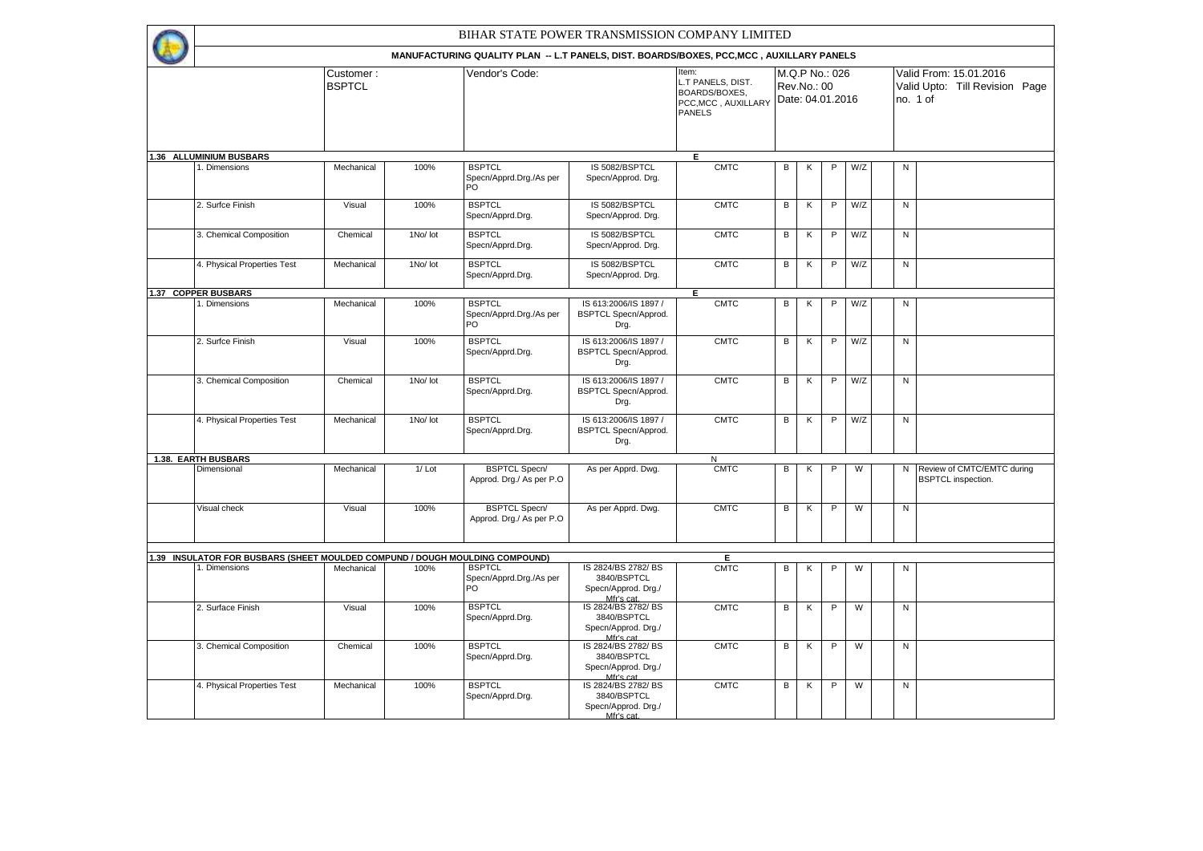|                                                                              |                            |          | BIHAR STATE POWER TRANSMISSION COMPANY LIMITED                                           |                                                                       |                                                                                    |   |             |                                    |     |              |                                                                      |
|------------------------------------------------------------------------------|----------------------------|----------|------------------------------------------------------------------------------------------|-----------------------------------------------------------------------|------------------------------------------------------------------------------------|---|-------------|------------------------------------|-----|--------------|----------------------------------------------------------------------|
|                                                                              |                            |          | MANUFACTURING QUALITY PLAN -- L.T PANELS, DIST. BOARDS/BOXES, PCC, MCC, AUXILLARY PANELS |                                                                       |                                                                                    |   |             |                                    |     |              |                                                                      |
|                                                                              | Customer:<br><b>BSPTCL</b> |          | Vendor's Code:                                                                           |                                                                       | Item:<br>L.T PANELS, DIST.<br>BOARDS/BOXES,<br>PCC.MCC. AUXILLARY<br><b>PANELS</b> |   | Rev.No.: 00 | M.Q.P No.: 026<br>Date: 04.01.2016 |     |              | Valid From: 15.01.2016<br>Valid Upto: Till Revision Page<br>no. 1 of |
| 1.36 ALLUMINIUM BUSBARS                                                      |                            |          |                                                                                          |                                                                       | Е                                                                                  |   |             |                                    |     |              |                                                                      |
| . Dimensions                                                                 | Mechanical                 | 100%     | <b>BSPTCL</b><br>Specn/Apprd.Drg./As per<br>PO                                           | IS 5082/BSPTCL<br>Specn/Approd. Drg.                                  | <b>CMTC</b>                                                                        | В | К           | $\mathsf P$                        | W/Z | N            |                                                                      |
| 2. Surfce Finish                                                             | Visual                     | 100%     | <b>BSPTCL</b><br>Specn/Apprd.Drg.                                                        | IS 5082/BSPTCL<br>Specn/Approd. Drg.                                  | CMTC                                                                               | В | К           | $\mathsf P$                        | W/Z | N            |                                                                      |
| 3. Chemical Composition                                                      | Chemical                   | 1No/ lot | <b>BSPTCL</b><br>Specn/Apprd.Drg.                                                        | IS 5082/BSPTCL<br>Specn/Approd. Drg.                                  | <b>CMTC</b>                                                                        | В | К           | P                                  | W/Z | $\mathsf{N}$ |                                                                      |
| 4. Physical Properties Test                                                  | Mechanical                 | 1No/ lot | <b>BSPTCL</b><br>Specn/Apprd.Drg.                                                        | IS 5082/BSPTCL<br>Specn/Approd. Drg.                                  | <b>CMTC</b>                                                                        | В | К           | P                                  | W/Z | N            |                                                                      |
| 1.37 COPPER BUSBARS                                                          |                            |          |                                                                                          |                                                                       | Έ                                                                                  |   |             |                                    |     |              |                                                                      |
| . Dimensions                                                                 | Mechanical                 | 100%     | <b>BSPTCL</b><br>Specn/Apprd.Drg./As per<br>PO                                           | IS 613:2006/IS 1897 /<br>BSPTCL Specn/Approd.<br>Drg.                 | <b>CMTC</b>                                                                        | B | К           | $\mathsf P$                        | W/Z | ${\sf N}$    |                                                                      |
| 2. Surfce Finish                                                             | Visual                     | 100%     | <b>BSPTCL</b><br>Specn/Apprd.Drg.                                                        | IS 613:2006/IS 1897 /<br>BSPTCL Specn/Approd.<br>Drg.                 | <b>CMTC</b>                                                                        | B | К           | P                                  | W/Z | $\mathsf{N}$ |                                                                      |
| 3. Chemical Composition                                                      | Chemical                   | 1No/ lot | <b>BSPTCL</b><br>Specn/Apprd.Drg.                                                        | IS 613:2006/IS 1897 /<br>BSPTCL Specn/Approd.<br>Drg.                 | <b>CMTC</b>                                                                        | B | К           | $\mathsf P$                        | W/Z | ${\sf N}$    |                                                                      |
| 4. Physical Properties Test                                                  | Mechanical                 | 1No/ lot | <b>BSPTCL</b><br>Specn/Apprd.Drg.                                                        | IS 613:2006/IS 1897 /<br><b>BSPTCL Specn/Approd.</b><br>Drg.          | <b>CMTC</b>                                                                        | В | К           | $\mathsf P$                        | W/Z | ${\sf N}$    |                                                                      |
| <b>1.38. EARTH BUSBARS</b>                                                   |                            |          |                                                                                          |                                                                       | N                                                                                  |   |             |                                    |     |              |                                                                      |
| Dimensional                                                                  | Mechanical                 | $1/$ Lot | <b>BSPTCL Specn/</b><br>Approd. Drg./ As per P.O                                         | As per Apprd. Dwg.                                                    | <b>CMTC</b>                                                                        | В | К           | $\mathsf P$                        | W   | N            | Review of CMTC/EMTC during<br><b>BSPTCL</b> inspection.              |
| Visual check                                                                 | Visual                     | 100%     | <b>BSPTCL Specn/</b><br>Approd. Drg./ As per P.O.                                        | As per Apprd. Dwg.                                                    | <b>CMTC</b>                                                                        | B | Κ           | P                                  | W   | $\mathsf{N}$ |                                                                      |
|                                                                              |                            |          |                                                                                          |                                                                       |                                                                                    |   |             |                                    |     |              |                                                                      |
| 1.39 INSULATOR FOR BUSBARS (SHEET MOULDED COMPUND / DOUGH MOULDING COMPOUND) |                            |          |                                                                                          |                                                                       | E                                                                                  |   |             |                                    |     |              |                                                                      |
| I. Dimensions                                                                | Mechanical                 | 100%     | <b>BSPTCL</b><br>Specn/Apprd.Drg./As per<br>PO                                           | IS 2824/BS 2782/BS<br>3840/BSPTCL<br>Specn/Approd. Drg./<br>Mfr's cat | <b>CMTC</b>                                                                        | В | Κ           | P                                  | W   | N            |                                                                      |
| 2. Surface Finish                                                            | Visual                     | 100%     | <b>BSPTCL</b><br>Specn/Apprd.Drg.                                                        | IS 2824/BS 2782/BS<br>3840/BSPTCL<br>Specn/Approd. Drg./<br>Mfr's cat | <b>CMTC</b>                                                                        | В | Κ           | P                                  | W   | N            |                                                                      |
| 3. Chemical Composition                                                      | Chemical                   | 100%     | <b>BSPTCL</b><br>Specn/Apprd.Drg.                                                        | IS 2824/BS 2782/BS<br>3840/BSPTCL<br>Specn/Approd. Drg./<br>Mfr's cat | <b>CMTC</b>                                                                        | B | К           | $\mathsf P$                        | W   | N            |                                                                      |
| 4. Physical Properties Test                                                  | Mechanical                 | 100%     | <b>BSPTCL</b><br>Specn/Apprd.Drg.                                                        | IS 2824/BS 2782/BS<br>3840/BSPTCL<br>Specn/Approd. Drg./<br>Mfr's cat | <b>CMTC</b>                                                                        | В | К           | $\mathsf P$                        | W   | ${\sf N}$    |                                                                      |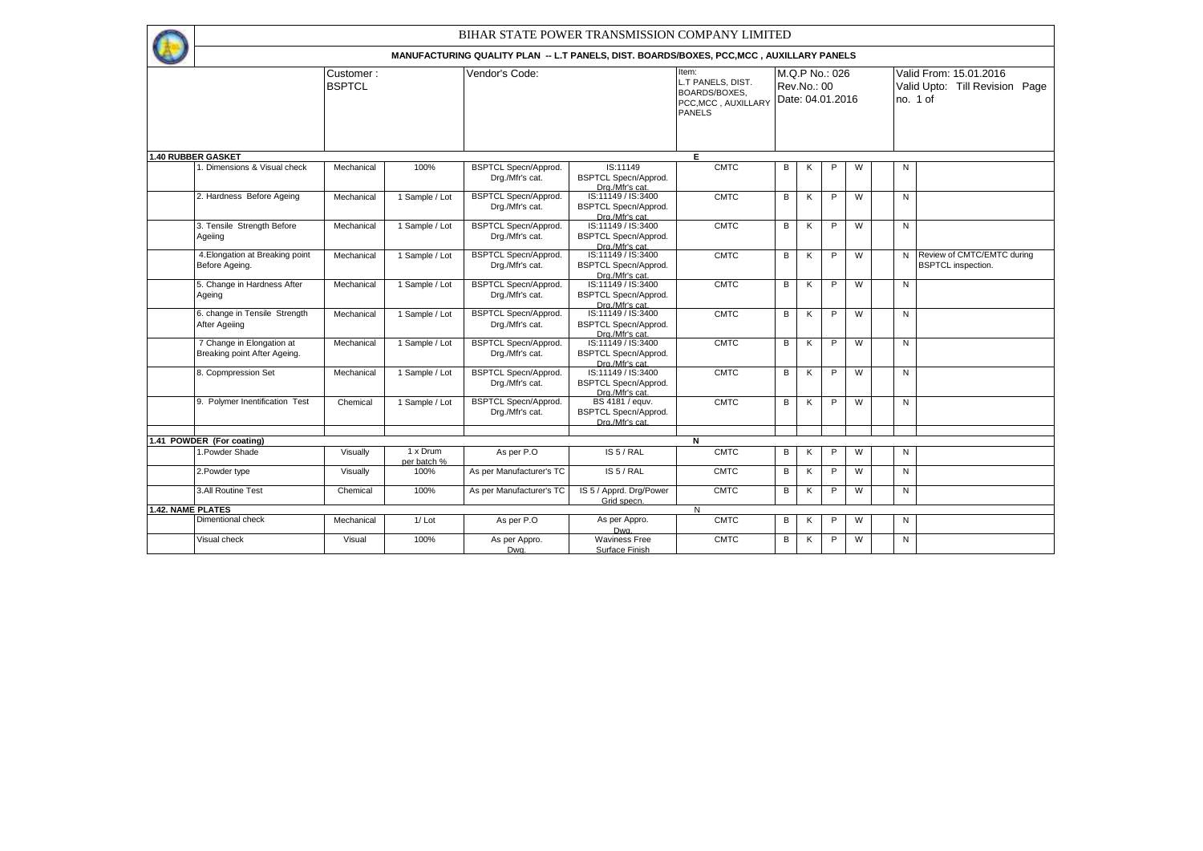BIHAR STATE POWER TRANSMISSION COMPANY LIMITED

 $\leftarrow$ 

**MANUFACTURING QUALITY PLAN -- L.T PANELS, DIST. BOARDS/BOXES, PCC,MCC , AUXILLARY PANELS** 

|                          |                                                           |            |                         | MANUFACTURING QUALITY PLAN -- L.T PANELS, DIST. BOARDS/BOXES, PCC.MCC , AUXILLARY PANELS |                                                                                         |                                                                                     |             |   |                                    |   |              |                                                                      |
|--------------------------|-----------------------------------------------------------|------------|-------------------------|------------------------------------------------------------------------------------------|-----------------------------------------------------------------------------------------|-------------------------------------------------------------------------------------|-------------|---|------------------------------------|---|--------------|----------------------------------------------------------------------|
|                          | Customer:<br><b>BSPTCL</b><br><b>1.40 RUBBER GASKET</b>   |            |                         | Vendor's Code:                                                                           |                                                                                         | Item:<br>L.T PANELS, DIST.<br>BOARDS/BOXES.<br>PCC, MCC, AUXILLARY<br><b>PANELS</b> | Rev.No.: 00 |   | M.Q.P No.: 026<br>Date: 04.01.2016 |   |              | Valid From: 15.01.2016<br>Valid Upto: Till Revision Page<br>no. 1 of |
|                          |                                                           |            |                         |                                                                                          |                                                                                         | Е                                                                                   |             |   |                                    |   |              |                                                                      |
|                          | . Dimensions & Visual check                               | Mechanical | 100%                    | <b>BSPTCL Specn/Approd.</b><br>Drg./Mfr's cat.                                           | IS:11149<br><b>BSPTCL Specn/Approd.</b><br>Dra./Mfr's cat.                              | <b>CMTC</b>                                                                         | В           | κ | P                                  | W | N            |                                                                      |
|                          | 2. Hardness Before Ageing                                 | Mechanical | 1 Sample / Lot          | <b>BSPTCL Specn/Approd.</b><br>Drg./Mfr's cat.                                           | IS:11149 / IS:3400<br><b>BSPTCL Specn/Approd.</b><br>Dra./Mfr's cat.                    | <b>CMTC</b>                                                                         | B           | K | P                                  | W | N            |                                                                      |
|                          | 3. Tensile Strength Before<br>Ageiing                     | Mechanical | 1 Sample / Lot          | <b>BSPTCL Specn/Approd.</b><br>Drg./Mfr's cat.                                           | IS:11149 / IS:3400<br><b>BSPTCL Specn/Approd.</b><br>Drg./Mfr's cat.                    | <b>CMTC</b>                                                                         | B           | K | P                                  | W | N            |                                                                      |
|                          | 4. Elongation at Breaking point<br>Before Ageing.         | Mechanical | 1 Sample / Lot          | <b>BSPTCL Specn/Approd.</b><br>Drg./Mfr's cat.                                           | IS:11149 / IS:3400<br><b>BSPTCL Specn/Approd.</b><br>Drg./Mfr's cat.                    | <b>CMTC</b>                                                                         | B           | ĸ | P                                  | W | N            | Review of CMTC/EMTC during<br><b>BSPTCL</b> inspection.              |
|                          | 5. Change in Hardness After<br>Ageing                     | Mechanical | 1 Sample / Lot          | <b>BSPTCL Specn/Approd.</b><br>Drg./Mfr's cat.                                           | IS:11149 / IS:3400<br><b>BSPTCL Specn/Approd.</b>                                       | <b>CMTC</b>                                                                         | B           | K | P                                  | W | N            |                                                                      |
|                          | 6. change in Tensile Strength<br>After Ageiing            | Mechanical | 1 Sample / Lot          | <b>BSPTCL Specn/Approd.</b><br>Dra./Mfr's cat.                                           | Dra./Mfr's cat.<br>IS:11149 / IS:3400<br><b>BSPTCL Specn/Approd.</b><br>Dra./Mfr's cat. | <b>CMTC</b>                                                                         | B           | ĸ | P                                  | W | N            |                                                                      |
|                          | 7 Change in Elongation at<br>Breaking point After Ageing. | Mechanical | 1 Sample / Lot          | <b>BSPTCL Specn/Approd.</b><br>Drg./Mfr's cat.                                           | IS:11149 / IS:3400<br><b>BSPTCL Specn/Approd.</b><br>Dra./Mfr's cat.                    | <b>CMTC</b>                                                                         | В           | K | P                                  | W | N            |                                                                      |
|                          | 8. Copmpression Set                                       | Mechanical | 1 Sample / Lot          | <b>BSPTCL Specn/Approd.</b><br>Drg./Mfr's cat.                                           | IS:11149 / IS:3400<br><b>BSPTCL Specn/Approd.</b><br>Drg./Mfr's cat.                    | <b>CMTC</b>                                                                         | B           | ĸ | P                                  | W | $\mathsf{N}$ |                                                                      |
|                          | 9. Polymer Inentification Test                            | Chemical   | 1 Sample / Lot          | <b>BSPTCL Specn/Approd.</b><br>Drg./Mfr's cat.                                           | BS 4181 / equv.<br><b>BSPTCL Specn/Approd.</b><br>Dra./Mfr's cat.                       | <b>CMTC</b>                                                                         | B           | K | P                                  | W | N            |                                                                      |
|                          |                                                           |            |                         |                                                                                          |                                                                                         |                                                                                     |             |   |                                    |   |              |                                                                      |
|                          | 1.41 POWDER (For coating)<br>1. Powder Shade              | Visually   | 1 x Drum<br>per batch % | As per P.O                                                                               | IS 5 / RAL                                                                              | N<br><b>CMTC</b>                                                                    | В           | ĸ | P                                  | W | N            |                                                                      |
|                          | 2. Powder type                                            | Visually   | 100%                    | As per Manufacturer's TC                                                                 | IS 5 / RAL                                                                              | <b>CMTC</b>                                                                         | B           | K | P                                  | W | N            |                                                                      |
|                          | 3.All Routine Test                                        | Chemical   | 100%                    | As per Manufacturer's TC                                                                 | IS 5 / Apprd. Drg/Power<br>Grid specn.                                                  | <b>CMTC</b>                                                                         | B           | ĸ | P                                  | W | N            |                                                                      |
| <b>1.42. NAME PLATES</b> |                                                           |            |                         |                                                                                          |                                                                                         | N                                                                                   |             |   |                                    |   |              |                                                                      |
|                          | Dimentional check                                         | Mechanical | $1/$ Lot                | As per P.O.                                                                              | As per Appro.<br>Dwa.                                                                   | <b>CMTC</b>                                                                         | В           | ĸ | P                                  | W | N            |                                                                      |
|                          | Visual check                                              | Visual     | 100%                    | As per Appro.<br>Dwg.                                                                    | <b>Waviness Free</b><br>Surface Finish                                                  | <b>CMTC</b>                                                                         | B           | ĸ | P                                  | W | N            |                                                                      |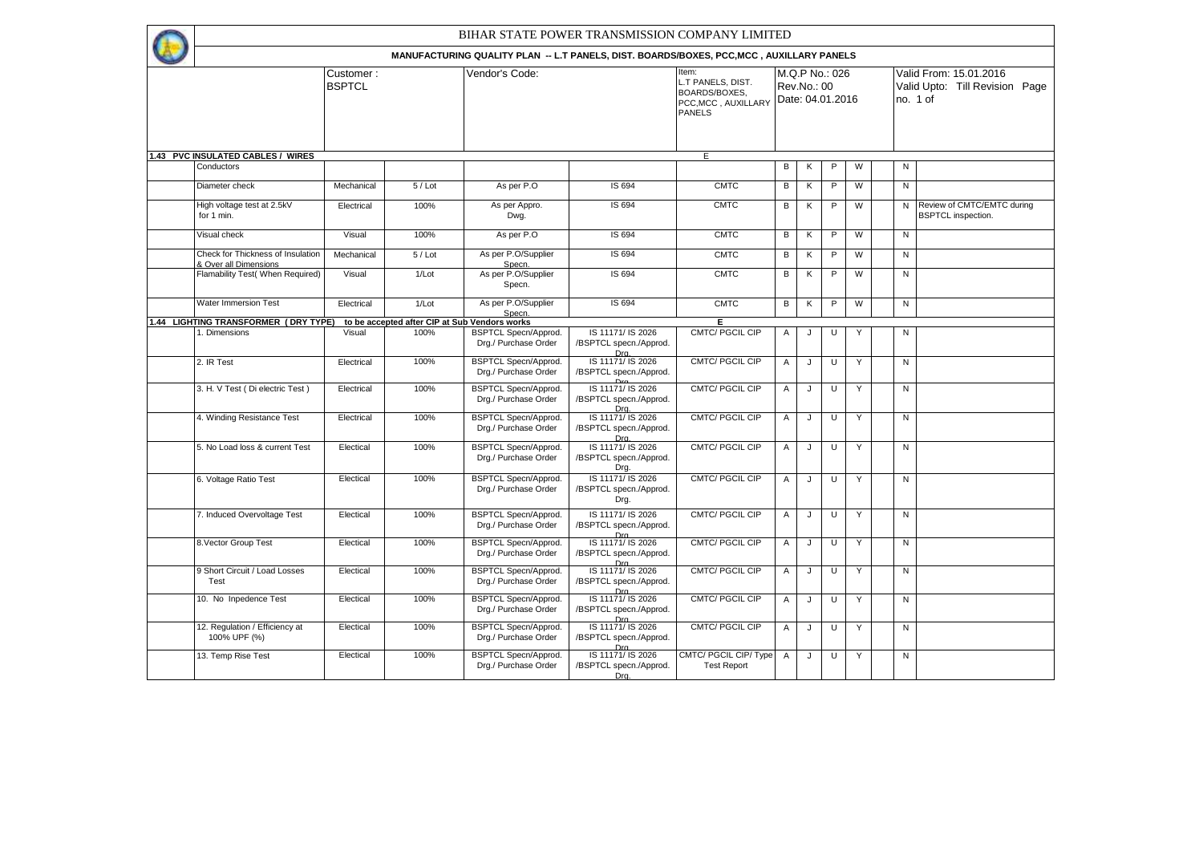|                                                            |               |          | BIHAR STATE POWER TRANSMISSION COMPANY LIMITED                                                             |                                                                |                                                                            |              |             |                  |   |  |                                            |                                                         |  |  |
|------------------------------------------------------------|---------------|----------|------------------------------------------------------------------------------------------------------------|----------------------------------------------------------------|----------------------------------------------------------------------------|--------------|-------------|------------------|---|--|--------------------------------------------|---------------------------------------------------------|--|--|
|                                                            |               |          |                                                                                                            |                                                                |                                                                            |              |             |                  |   |  |                                            |                                                         |  |  |
|                                                            | Customer :    |          | MANUFACTURING QUALITY PLAN -- L.T PANELS, DIST. BOARDS/BOXES, PCC, MCC, AUXILLARY PANELS<br>Vendor's Code: |                                                                | Item:                                                                      |              |             | M.Q.P No.: 026   |   |  |                                            | Valid From: 15.01.2016                                  |  |  |
|                                                            | <b>BSPTCL</b> |          |                                                                                                            |                                                                | L.T PANELS, DIST.<br>BOARDS/BOXES,<br>PCC, MCC, AUXILLARY<br><b>PANELS</b> |              | Rev.No.: 00 | Date: 04.01.2016 |   |  | Valid Upto: Till Revision Page<br>no. 1 of |                                                         |  |  |
| 1.43 PVC INSULATED CABLES / WIRES                          |               |          |                                                                                                            |                                                                | Ε                                                                          |              |             |                  |   |  |                                            |                                                         |  |  |
| Conductors                                                 |               |          |                                                                                                            |                                                                |                                                                            | В            | Κ           | $\mathsf P$      | W |  | N                                          |                                                         |  |  |
| Diameter check                                             | Mechanical    | $5/$ Lot | As per P.O                                                                                                 | IS 694                                                         | <b>CMTC</b>                                                                | В            | Κ           | $\mathsf P$      | W |  | $\overline{N}$                             |                                                         |  |  |
| High voltage test at 2.5kV<br>for 1 min.                   | Electrical    | 100%     | As per Appro.<br>Dwg.                                                                                      | IS 694                                                         | <b>CMTC</b>                                                                | В            | Κ           | P                | W |  | N                                          | Review of CMTC/EMTC during<br><b>BSPTCL</b> inspection. |  |  |
| Visual check                                               | Visual        | 100%     | As per P.O                                                                                                 | IS 694                                                         | <b>CMTC</b>                                                                | В            | Κ           | P                | W |  | N                                          |                                                         |  |  |
| Check for Thickness of Insulation<br>& Over all Dimensions | Mechanical    | $5/$ Lot | As per P.O/Supplier<br>Specn.                                                                              | IS 694                                                         | <b>CMTC</b>                                                                | В            | Κ           | P                | W |  | N                                          |                                                         |  |  |
| Flamability Test( When Required)                           | Visual        | 1/Lot    | As per P.O/Supplier<br>Specn.                                                                              | IS 694                                                         | <b>CMTC</b>                                                                | В            | Κ           | P                | W |  | N                                          |                                                         |  |  |
| Water Immersion Test                                       | Electrical    | 1/Lot    | As per P.O/Supplier<br>Specn.                                                                              | IS 694                                                         | <b>CMTC</b>                                                                | В            | Κ           | $\mathsf P$      | W |  | N                                          |                                                         |  |  |
| 1.44 LIGHTING TRANSFORMER (DRY TYPE)                       |               |          | to be accepted after CIP at Sub Vendors works                                                              |                                                                | Е                                                                          |              |             |                  |   |  |                                            |                                                         |  |  |
| 1. Dimensions                                              | Visual        | 100%     | <b>BSPTCL Specn/Approd.</b><br>Drg./ Purchase Order                                                        | IS 11171/ IS 2026<br>/BSPTCL specn./Approd.<br>Dra.            | <b>CMTC/ PGCIL CIP</b>                                                     | Α            | J           | U                |   |  | N                                          |                                                         |  |  |
| 2. IR Test                                                 | Electrical    | 100%     | <b>BSPTCL Specn/Approd.</b><br>Drg./ Purchase Order                                                        | IS 11171/ IS 2026<br>/BSPTCL specn./Approd.                    | <b>CMTC/PGCIL CIP</b>                                                      | Α            | J           | U                | Y |  | N                                          |                                                         |  |  |
| 3. H. V Test (Di electric Test)                            | Electrical    | 100%     | <b>BSPTCL Specn/Approd.</b><br>Drg./ Purchase Order                                                        | IS 11171/ IS 2026<br>/BSPTCL specn./Approd.<br>Dra.            | <b>CMTC/ PGCIL CIP</b>                                                     | $\mathsf{A}$ | J           | U                | Y |  | N                                          |                                                         |  |  |
| 4. Winding Resistance Test                                 | Electrical    | 100%     | <b>BSPTCL Specn/Approd.</b><br>Drg./ Purchase Order                                                        | IS 11171/ IS 2026<br>/BSPTCL specn./Approd.<br>Dra             | <b>CMTC/PGCIL CIP</b>                                                      | A            | J           | U                | Y |  | N                                          |                                                         |  |  |
| 5. No Load loss & current Test                             | Electical     | 100%     | <b>BSPTCL Specn/Approd.</b><br>Drg./ Purchase Order                                                        | IS 11171/ IS 2026<br>/BSPTCL specn./Approd.<br>Drg.            | CMTC/ PGCIL CIP                                                            | Α            | J           | U                | Y |  | N                                          |                                                         |  |  |
| 6. Voltage Ratio Test                                      | Electical     | 100%     | <b>BSPTCL Specn/Approd.</b><br>Drg./ Purchase Order                                                        | IS 11171/ IS 2026<br>/BSPTCL specn./Approd.<br>Drg.            | CMTC/ PGCIL CIP                                                            | A            | J           | U                | Y |  | N                                          |                                                         |  |  |
| 7. Induced Overvoltage Test                                | Electical     | 100%     | <b>BSPTCL Specn/Approd.</b><br>Drg./ Purchase Order                                                        | IS 11171/ IS 2026<br>/BSPTCL specn./Approd.<br>Dr <sub>0</sub> | <b>CMTC/ PGCIL CIP</b>                                                     | Α            | J           | U                | Y |  | ${\sf N}$                                  |                                                         |  |  |
| 8. Vector Group Test                                       | Electical     | 100%     | <b>BSPTCL Specn/Approd.</b><br>Drg./ Purchase Order                                                        | IS 11171/ IS 2026<br>/BSPTCL specn./Approd.<br>Dro             | CMTC/ PGCIL CIP                                                            | Α            | J           | U                |   |  | N                                          |                                                         |  |  |
| 9 Short Circuit / Load Losses<br>Test                      | Electical     | 100%     | <b>BSPTCL Specn/Approd.</b><br>Drg./ Purchase Order                                                        | IS 11171/ IS 2026<br>/BSPTCL specn./Approd.<br>Dr <sub>0</sub> | <b>CMTC/PGCIL CIP</b>                                                      | A            | J           | U                | Y |  | N                                          |                                                         |  |  |
| 10. No Inpedence Test                                      | Electical     | 100%     | <b>BSPTCL Specn/Approd.</b><br>Drg./ Purchase Order                                                        | IS 11171/ IS 2026<br>/BSPTCL specn./Approd.                    | CMTC/ PGCIL CIP                                                            | Α            | J           | U                | Y |  | N                                          |                                                         |  |  |
| 12. Regulation / Efficiency at<br>100% UPF (%)             | Electical     | 100%     | <b>BSPTCL Specn/Approd.</b><br>Drg./ Purchase Order                                                        | Drg<br>IS 11171/ IS 2026<br>/BSPTCL specn./Approd.<br>Dra      | CMTC/ PGCIL CIP                                                            | Α            | J           | U                | Υ |  | N                                          |                                                         |  |  |
| 13. Temp Rise Test                                         | Electical     | 100%     | <b>BSPTCL Specn/Approd.</b><br>Drg./ Purchase Order                                                        | IS 11171/ IS 2026<br>/BSPTCL specn./Approd.                    | CMTC/ PGCIL CIP/ Type<br><b>Test Report</b>                                | Α            | J           | U                | Y |  | N                                          |                                                         |  |  |
|                                                            |               |          |                                                                                                            | Dra.                                                           |                                                                            |              |             |                  |   |  |                                            |                                                         |  |  |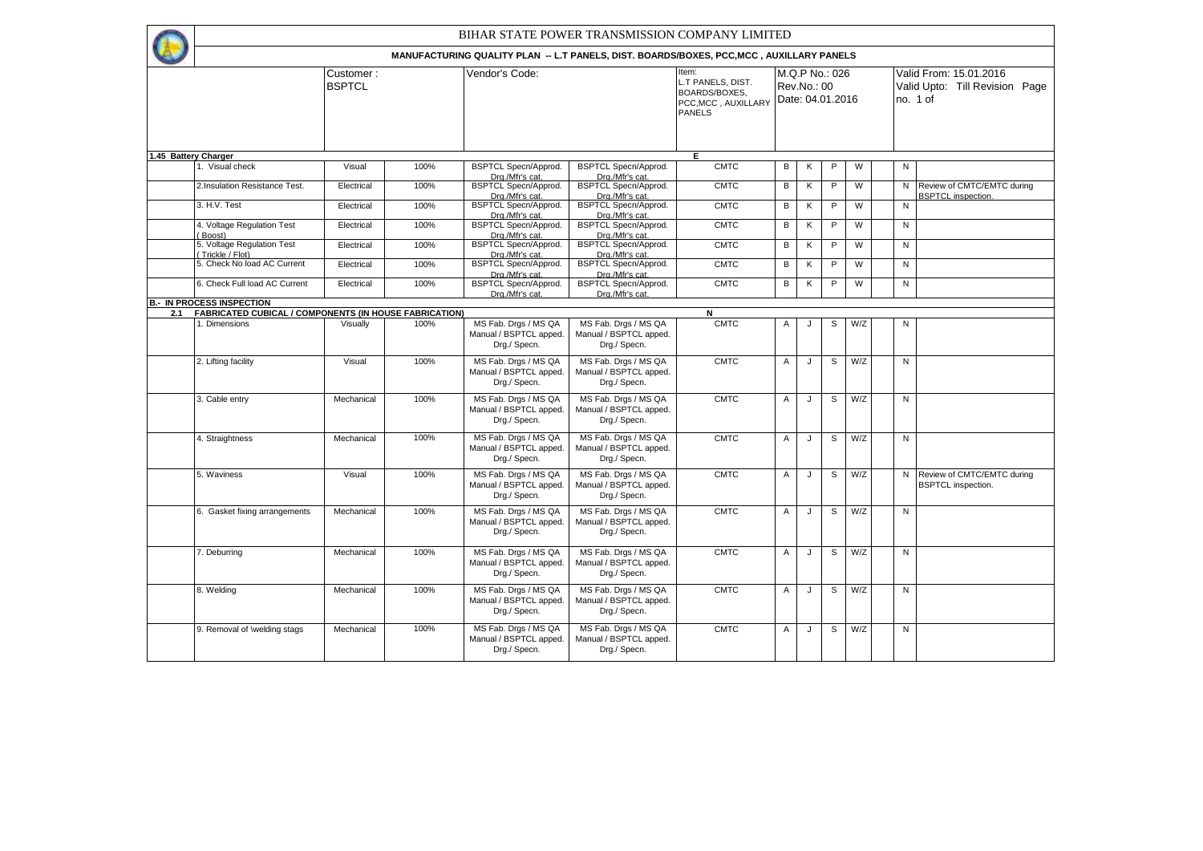Item: L.T PANELS, DIST. BOARDS/BOXES, PCC,MCC , AUXILLARY PANELS Valid From: 15.01.2016 Valid Upto: Till Revision Page no. 1 of Customer : **BSPTCL** Vendor's Code: M.Q.P No.: 026 Rev.No.: 00 Date: 04.01.2016 BIHAR STATE POWER TRANSMISSION COMPANY LIMITED **MANUFACTURING QUALITY PLAN -- L.T PANELS, DIST. BOARDS/BOXES, PCC,MCC , AUXILLARY PANELS**  1. Visual check Visual 100% BSPTCL Specn/Approd. **Drg./Mfr's cat.**<br>BSPTCL Specn/Approd. BSPTCL Specn/Approd. Drg./Mfr's cat. CMTC B K P W N 2.Insulation Resistance Test. Electrical 100% Drg./Mfr's cat. BSPTCL Specn/Approd. Drg./Mfr's cat. CMTC B K P W N Review of CMTC/EMTC during **BSPTCL** inspection 3. H.V. Test Electrical 100% BSPTCL Specn/Approd. Drg./Mfr's cat. BSPTCL Specn/Approd. Drg./Mfr's cat. CMTC B K P W I N 4. Voltage Regulation Test ( Boost) Electrical 100% BSPTCL Specn/Approd. Drg./Mfr's cat. BSPTCL Specn/Approd. Drg./Mfr's cat. CMTC B K P W N 5. Voltage Regulation Test ( Trickle / Flot) Electrical 100% BSPTCL Specn/Approd. Drg./Mfr's cat.<br>BSPTCL Specn/Approd. BSPTCL Specn/Approd. Drg./Mfr's cat. CMTC B K P W I N 5. Check No load AC Current | Electrical | 100% Drg./Mfr's cat.<br>BSPTCL Specn/Approd. BSPTCL Specn/Approd. Drg./Mfr's cat.  $CMTC$   $B$   $K$   $P$   $W$   $N$ 6. Check Full load AC Current Electrical 100% Drg./Mfr's cat. BSPTCL Specn/Approd. Drg./Mfr's cat. CMTC B K P W I N 100% MS Fab. Dras / MS QA Manual / BSPTCL apped. Drg./ Specn. MS Fab. Drgs / MS QA Manual / BSPTCL apped. Drg./ Specn. CMTC A J S W/Z N 12. Lifting facility **Visual 100% MS Fab. Drgs / MS QA** Manual / BSPTCL apped. Drg./ Specn. MS Fab. Drgs / MS QA Manual / BSPTCL apped. Drg./ Specn. CMTC A J S W/Z N 3. Cable entry **Mechanical 100% MS Fab. Drgs / MS QA** Manual / BSPTCL apped. Drg./ Specn. MS Fab. Drgs / MS QA Manual / BSPTCL apped. Drg./ Specn. CMTC A J S W/Z N 4. Straightness Mechanical 100% MS Fab. Drgs / MS QA Manual / BSPTCL apped. Drg./ Specn. MS Fab. Drgs / MS QA Manual / BSPTCL apped. Drg./ Specn. CMTC A J S W/Z N 5. Waviness Visual 100% MS Fab. Drgs / MS QA Manual / BSPTCL apped. Drg./ Specn. MS Fab. Drgs / MS QA Manual / BSPTCL apped. Drg./ Specn. CMTC  $A \cup B$  S  $\cup Z$  N Review of CMTC/EMTC during BSPTCL inspection 6. Gasket fixing arrangements Mechanical 100% MS Fab. Drgs / MS QA Manual / BSPTCL apped. Drg./ Specn. MS Fab. Drgs / MS QA Manual / BSPTCL apped. Drg./ Specn. CMTC A J S W/Z N 7. Deburring Mechanical 100% MS Fab. Drgs / MS QA Manual / BSPTCL apped. Drg./ Specn. MS Fab. Drgs / MS QA Manual / BSPTCL apped. Drg./ Specn. CMTC A J S W/Z N 8. Welding Mechanical 100% MS Fab. Drgs / MS QA Manual / BSPTCL apped. Drg./ Specn. MS Fab. Drgs / MS QA Manual / BSPTCL apped. Drg./ Specn. CMTC A J S W/Z N **2.1 FABRICATED CUBICAL / COMPONENTS (IN HOUSE FABRICATION) N**<br>1. Dimensions | Visually | 100% | MS Fab. Drgs / MS QA | MS Fab. Drgs / MS QA | CMTC **1.45 Battery Charger E B.- IN PROCESS INSPECTION**

> MS Fab. Drgs / MS QA Manual / BSPTCL apped. Drg./ Specn.

CMTC A J S W/Z N

9. Removal of \welding stags Mechanical 100% MS Fab. Drgs / MS QA

Manual / BSPTCL apped. Drg./ Specn.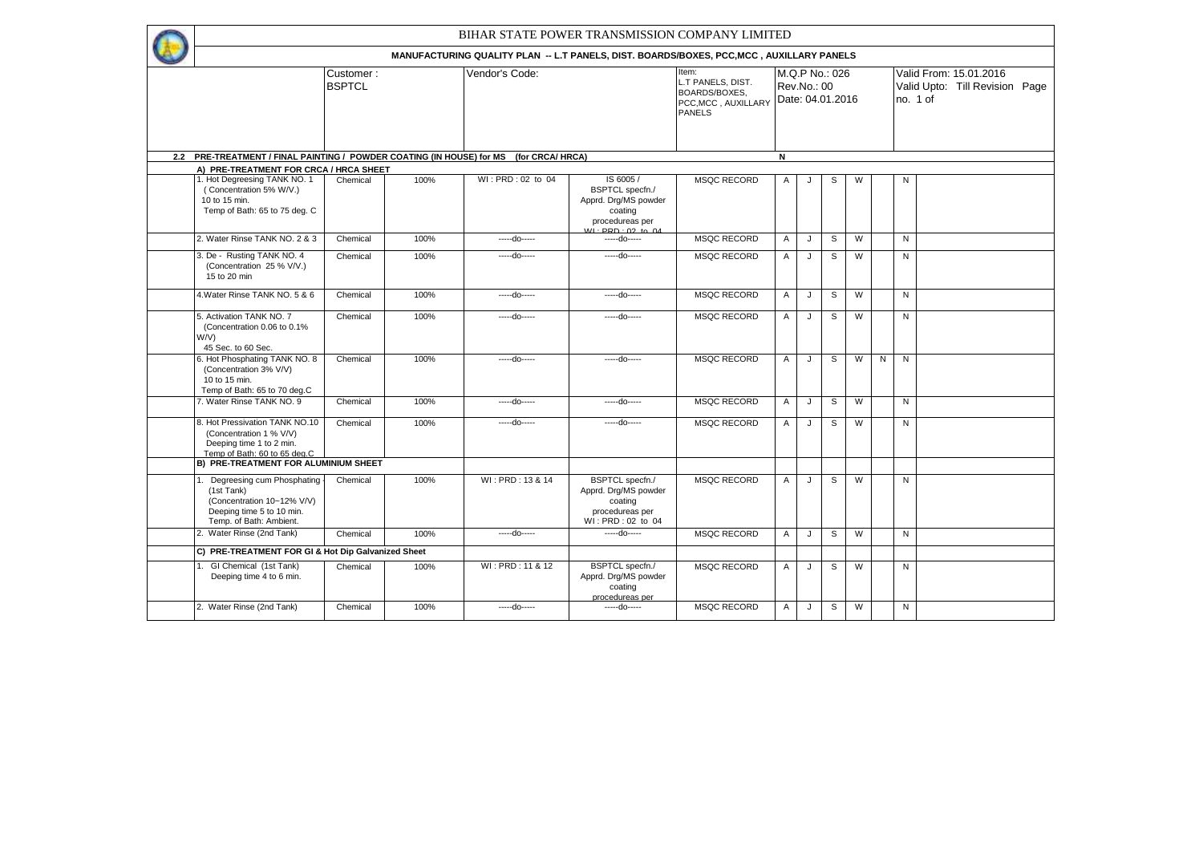| BIHAR STATE POWER TRANSMISSION COMPANY LIMITED                                                                                                      |                            |      |                   |                                                                                                   |                                                                                            |                                                   |              |   |   |   |                                                                      |  |  |
|-----------------------------------------------------------------------------------------------------------------------------------------------------|----------------------------|------|-------------------|---------------------------------------------------------------------------------------------------|--------------------------------------------------------------------------------------------|---------------------------------------------------|--------------|---|---|---|----------------------------------------------------------------------|--|--|
|                                                                                                                                                     |                            |      |                   | MANUFACTURING QUALITY PLAN -- L.T PANELS, DIST. BOARDS/BOXES, PCC, MCC, AUXILLARY PANELS          |                                                                                            |                                                   |              |   |   |   |                                                                      |  |  |
|                                                                                                                                                     | Customer:<br><b>BSPTCL</b> |      | Vendor's Code:    |                                                                                                   | Item:<br>L.T PANELS, DIST.<br><b>BOARDS/BOXES.</b><br>PCC, MCC, AUXILLARY<br><b>PANELS</b> | M.Q.P No.: 026<br>Rev.No.: 00<br>Date: 04.01.2016 |              |   |   |   | Valid From: 15.01.2016<br>Valid Upto: Till Revision Page<br>no. 1 of |  |  |
|                                                                                                                                                     |                            |      |                   |                                                                                                   |                                                                                            |                                                   |              |   |   |   |                                                                      |  |  |
| 2.2 PRE-TREATMENT / FINAL PAINTING / POWDER COATING (IN HOUSE) for MS                                                                               |                            |      |                   | N<br>(for CRCA/ HRCA)                                                                             |                                                                                            |                                                   |              |   |   |   |                                                                      |  |  |
| A) PRE-TREATMENT FOR CRCA / HRCA SHEET<br>1. Hot Degreesing TANK NO. 1<br>(Concentration 5% W/V.)<br>10 to 15 min.<br>Temp of Bath: 65 to 75 deg. C | Chemical                   | 100% | WI: PRD: 02 to 04 | IS 6005/<br><b>BSPTCL</b> specfn./<br>Apprd. Drg/MS powder<br>coating                             | <b>MSQC RECORD</b>                                                                         | Α                                                 |              | s | W |   | N                                                                    |  |  |
|                                                                                                                                                     |                            |      |                   | procedureas per<br>$W1 \cdot \text{PPD} \cdot 02$ to $04$                                         |                                                                                            |                                                   |              |   |   |   |                                                                      |  |  |
| 2. Water Rinse TANK NO. 2 & 3                                                                                                                       | Chemical                   | 100% | -----do-----      | -----do-----                                                                                      | <b>MSQC RECORD</b>                                                                         | $\overline{A}$                                    | J            | S | W |   | N                                                                    |  |  |
| 3. De - Rusting TANK NO. 4<br>(Concentration 25 % V/V.)<br>15 to 20 min                                                                             | Chemical                   | 100% | -----do-----      | -----do-----                                                                                      | <b>MSQC RECORD</b>                                                                         | Α                                                 | J            | S | W |   | N                                                                    |  |  |
| 4. Water Rinse TANK NO. 5 & 6                                                                                                                       | Chemical                   | 100% | -----do-----      | -----do-----                                                                                      | <b>MSQC RECORD</b>                                                                         | $\overline{A}$                                    | J            | S | W |   | N                                                                    |  |  |
| 5. Activation TANK NO. 7<br>(Concentration 0.06 to 0.1%)<br>W/V)<br>45 Sec. to 60 Sec.                                                              | Chemical                   | 100% | -----do-----      | -----do-----                                                                                      | <b>MSQC RECORD</b>                                                                         | $\overline{A}$                                    | J            | S | W |   | N                                                                    |  |  |
| 6. Hot Phosphating TANK NO. 8<br>(Concentration 3% V/V)<br>10 to 15 min.<br>Temp of Bath: 65 to 70 deg.C                                            | Chemical                   | 100% | -----do-----      | -----do-----                                                                                      | <b>MSQC RECORD</b>                                                                         | A                                                 | J.           | S | W | N | N                                                                    |  |  |
| 7. Water Rinse TANK NO. 9                                                                                                                           | Chemical                   | 100% | -----do-----      | -----do-----                                                                                      | <b>MSQC RECORD</b>                                                                         | $\mathsf{A}$                                      | J            | S | W |   | N                                                                    |  |  |
| 8. Hot Pressivation TANK NO.10<br>(Concentration 1 % V/V)<br>Deeping time 1 to 2 min.<br>Temp of Bath: 60 to 65 deg.C                               | Chemical                   | 100% | -----do-----      | -----do-----                                                                                      | <b>MSQC RECORD</b>                                                                         | $\overline{A}$                                    | J.           | S | W |   | N                                                                    |  |  |
| B) PRE-TREATMENT FOR ALUMINIUM SHEET                                                                                                                |                            |      |                   |                                                                                                   |                                                                                            |                                                   |              |   |   |   |                                                                      |  |  |
| Degreesing cum Phosphating<br>(1st Tank)<br>(Concentration 10~12% V/V)<br>Deeping time 5 to 10 min.<br>Temp. of Bath: Ambient.                      | Chemical                   | 100% | WI: PRD: 13 & 14  | <b>BSPTCL</b> specfn./<br>Apprd. Drg/MS powder<br>coating<br>procedureas per<br>WI: PRD: 02 to 04 | <b>MSQC RECORD</b>                                                                         | A                                                 | J            | S | W |   | N                                                                    |  |  |
| 2. Water Rinse (2nd Tank)                                                                                                                           | Chemical                   | 100% | -----do-----      | -----do-----                                                                                      | <b>MSQC RECORD</b>                                                                         | $\mathsf{A}$                                      | J            | S | W |   | N                                                                    |  |  |
| C) PRE-TREATMENT FOR GI & Hot Dip Galvanized Sheet                                                                                                  |                            |      |                   |                                                                                                   |                                                                                            |                                                   |              |   |   |   |                                                                      |  |  |
| GI Chemical (1st Tank)<br>Deeping time 4 to 6 min.                                                                                                  | Chemical                   | 100% | WI: PRD: 11 & 12  | <b>BSPTCL</b> specfn./<br>Apprd. Drg/MS powder<br>coating<br>procedureas per                      | <b>MSQC RECORD</b>                                                                         | A                                                 | $\mathbf{J}$ | S | W |   | N                                                                    |  |  |
| 2. Water Rinse (2nd Tank)                                                                                                                           | Chemical                   | 100% | -----do-----      | -----do-----                                                                                      | <b>MSQC RECORD</b>                                                                         | A                                                 | J            | S | W |   | N                                                                    |  |  |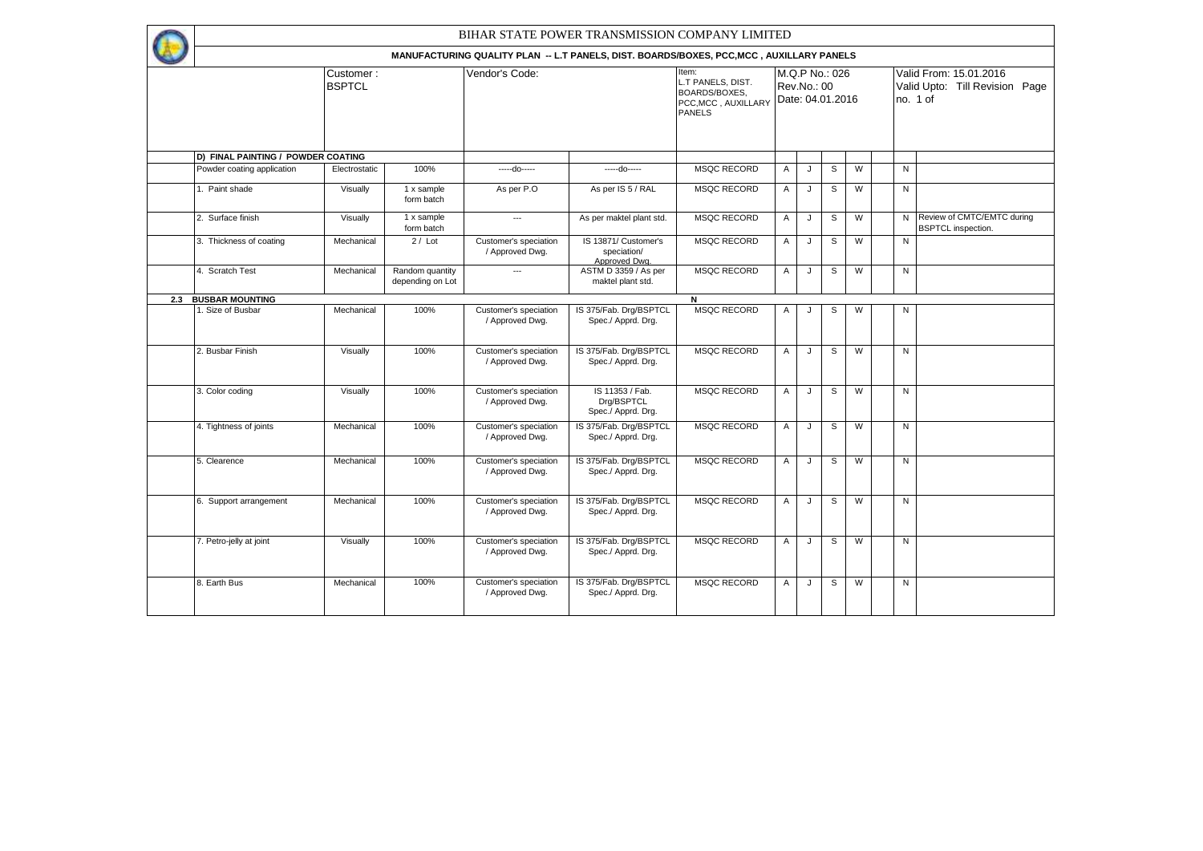|     |                                    |                            |                                     |                                          | BIHAR STATE POWER TRANSMISSION COMPANY LIMITED                                           |                                                                                     |                                                   |   |   |   |  |                                                                      |                                                           |  |
|-----|------------------------------------|----------------------------|-------------------------------------|------------------------------------------|------------------------------------------------------------------------------------------|-------------------------------------------------------------------------------------|---------------------------------------------------|---|---|---|--|----------------------------------------------------------------------|-----------------------------------------------------------|--|
|     |                                    |                            |                                     |                                          | MANUFACTURING QUALITY PLAN -- L.T PANELS, DIST. BOARDS/BOXES, PCC, MCC, AUXILLARY PANELS |                                                                                     |                                                   |   |   |   |  |                                                                      |                                                           |  |
|     |                                    | Customer:<br><b>BSPTCL</b> |                                     | Vendor's Code:                           |                                                                                          | Item:<br>L.T PANELS, DIST.<br>BOARDS/BOXES,<br>PCC, MCC, AUXILLARY<br><b>PANELS</b> | M.Q.P No.: 026<br>Rev.No.: 00<br>Date: 04.01.2016 |   |   |   |  | Valid From: 15.01.2016<br>Valid Upto: Till Revision Page<br>no. 1 of |                                                           |  |
|     | D) FINAL PAINTING / POWDER COATING |                            |                                     |                                          |                                                                                          |                                                                                     |                                                   |   |   |   |  |                                                                      |                                                           |  |
|     | Powder coating application         | Electrostatic              | 100%                                | -----do-----                             | -----do-----                                                                             | <b>MSQC RECORD</b>                                                                  | Α                                                 | J | S | W |  | N                                                                    |                                                           |  |
|     | 1. Paint shade                     | Visually                   | 1 x sample<br>form batch            | As per P.O                               | As per IS 5 / RAL                                                                        | <b>MSQC RECORD</b>                                                                  | Α                                                 | J | S | W |  | N                                                                    |                                                           |  |
|     | 2. Surface finish                  | Visually                   | 1 x sample<br>form batch            | $\hspace{0.05cm} \ldots$                 | As per maktel plant std.                                                                 | <b>MSQC RECORD</b>                                                                  | Α                                                 | J | S | W |  |                                                                      | N Review of CMTC/EMTC during<br><b>BSPTCL</b> inspection. |  |
|     | 3. Thickness of coating            | Mechanical                 | $2 /$ Lot                           | Customer's speciation<br>/ Approved Dwg. | IS 13871/ Customer's<br>speciation/<br>Approved Dwa.                                     | <b>MSQC RECORD</b>                                                                  | $\overline{A}$                                    | J | S | W |  | $\mathsf{N}$                                                         |                                                           |  |
|     | 4. Scratch Test                    | Mechanical                 | Random quantity<br>depending on Lot | $\hspace{0.05cm}\ldots$                  | ASTM D 3359 / As per<br>maktel plant std.                                                | <b>MSQC RECORD</b>                                                                  | Α                                                 | J | S | W |  | N                                                                    |                                                           |  |
| 2.3 | <b>BUSBAR MOUNTING</b>             |                            |                                     |                                          |                                                                                          | N                                                                                   |                                                   |   |   |   |  |                                                                      |                                                           |  |
|     | 1. Size of Busbar                  | Mechanical                 | 100%                                | Customer's speciation<br>/ Approved Dwg. | IS 375/Fab. Drg/BSPTCL<br>Spec./ Apprd. Drg.                                             | MSQC RECORD                                                                         | Α                                                 | J | S | W |  | ${\sf N}$                                                            |                                                           |  |
|     | 2. Busbar Finish                   | Visually                   | 100%                                | Customer's speciation<br>/ Approved Dwg. | IS 375/Fab. Drg/BSPTCL<br>Spec./ Apprd. Drg.                                             | <b>MSQC RECORD</b>                                                                  | $\overline{A}$                                    | J | S | W |  | N                                                                    |                                                           |  |
|     | 3. Color coding                    | Visually                   | 100%                                | Customer's speciation<br>/ Approved Dwg. | IS 11353 / Fab.<br>Drg/BSPTCL<br>Spec./ Apprd. Drg.                                      | <b>MSQC RECORD</b>                                                                  | $\overline{A}$                                    | J | S | W |  | $\mathsf{N}$                                                         |                                                           |  |
|     | 4. Tightness of joints             | Mechanical                 | 100%                                | Customer's speciation<br>/ Approved Dwg. | IS 375/Fab. Drq/BSPTCL<br>Spec./ Apprd. Drg.                                             | <b>MSQC RECORD</b>                                                                  | $\overline{A}$                                    | J | S | W |  | $\mathsf{N}$                                                         |                                                           |  |
|     | 5. Clearence                       | Mechanical                 | 100%                                | Customer's speciation<br>/ Approved Dwg. | IS 375/Fab. Drg/BSPTCL<br>Spec./ Apprd. Drg.                                             | <b>MSQC RECORD</b>                                                                  | Α                                                 | J | S | W |  | N                                                                    |                                                           |  |
|     | 6. Support arrangement             | Mechanical                 | 100%                                | Customer's speciation<br>/ Approved Dwg. | IS 375/Fab. Drg/BSPTCL<br>Spec./ Apprd. Drg.                                             | <b>MSQC RECORD</b>                                                                  | Α                                                 | J | S | W |  | N                                                                    |                                                           |  |
|     | 7. Petro-jelly at joint            | Visually                   | 100%                                | Customer's speciation<br>/ Approved Dwg. | IS 375/Fab. Drg/BSPTCL<br>Spec./ Apprd. Drg.                                             | <b>MSQC RECORD</b>                                                                  | $\overline{A}$                                    | J | S | W |  | N                                                                    |                                                           |  |
|     | 8. Earth Bus                       | Mechanical                 | 100%                                | Customer's speciation<br>/ Approved Dwg. | IS 375/Fab. Drg/BSPTCL<br>Spec./ Apprd. Drg.                                             | <b>MSQC RECORD</b>                                                                  | $\overline{A}$                                    | J | S | W |  | $\mathsf{N}$                                                         |                                                           |  |
|     |                                    |                            |                                     |                                          |                                                                                          |                                                                                     |                                                   |   |   |   |  |                                                                      |                                                           |  |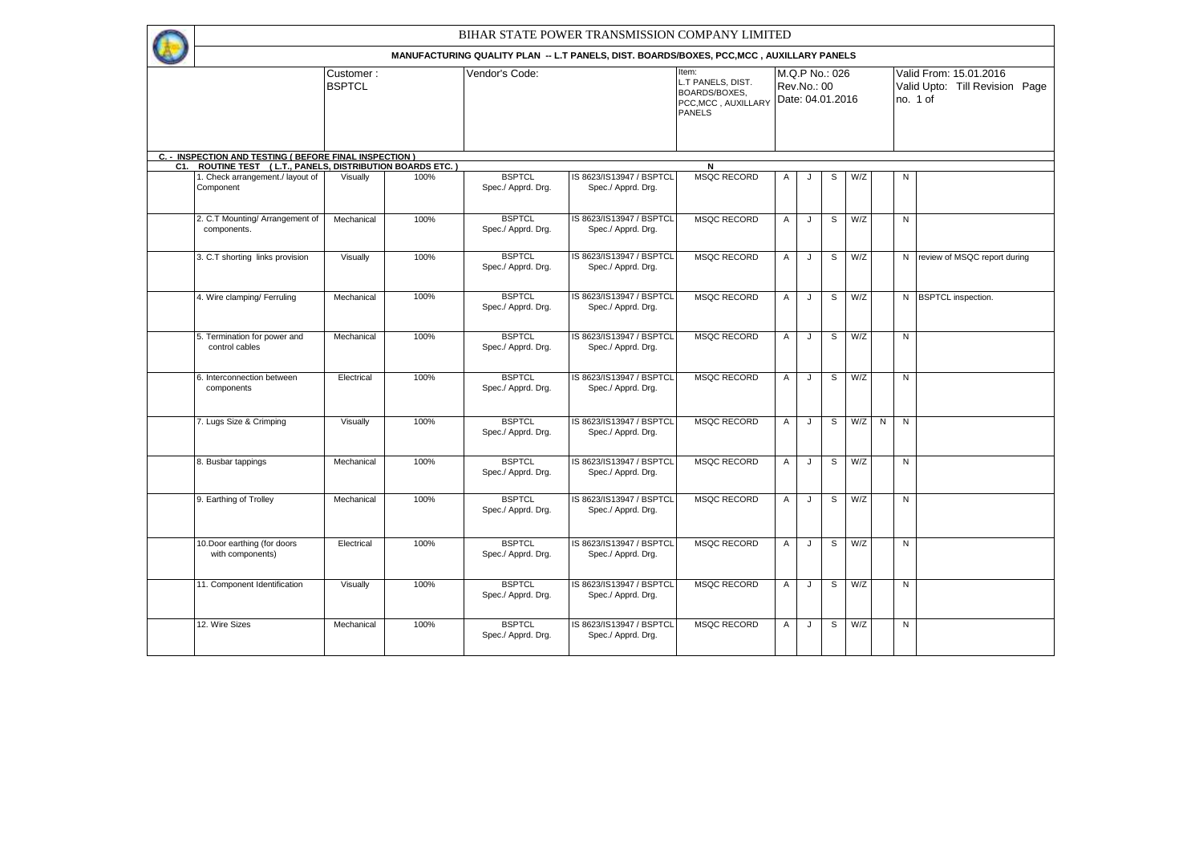|     | BIHAR STATE POWER TRANSMISSION COMPANY LIMITED          |                            |      |                                     |                                                                                          |                                                                                                             |                |             |                |     |   |                                                                      |                                |  |
|-----|---------------------------------------------------------|----------------------------|------|-------------------------------------|------------------------------------------------------------------------------------------|-------------------------------------------------------------------------------------------------------------|----------------|-------------|----------------|-----|---|----------------------------------------------------------------------|--------------------------------|--|
|     |                                                         |                            |      |                                     | MANUFACTURING QUALITY PLAN -- L.T PANELS, DIST. BOARDS/BOXES, PCC, MCC, AUXILLARY PANELS |                                                                                                             |                |             |                |     |   |                                                                      |                                |  |
|     |                                                         | Customer:<br><b>BSPTCL</b> |      | Vendor's Code:                      |                                                                                          | Item:<br>L.T PANELS, DIST.<br><b>BOARDS/BOXES.</b><br>PCC, MCC, AUXILLARY Date: 04.01.2016<br><b>PANELS</b> |                | Rev.No.: 00 | M.Q.P No.: 026 |     |   | Valid From: 15.01.2016<br>Valid Upto: Till Revision Page<br>no. 1 of |                                |  |
|     | C. - INSPECTION AND TESTING ( BEFORE FINAL INSPECTION ) |                            |      |                                     |                                                                                          |                                                                                                             |                |             |                |     |   |                                                                      |                                |  |
| C1. | ROUTINE TEST ( L.T., PANELS, DISTRIBUTION BOARDS ETC.)  |                            |      |                                     |                                                                                          | N                                                                                                           |                |             |                |     |   |                                                                      |                                |  |
|     | 1. Check arrangement./ layout of<br>Component           | Visually                   | 100% | <b>BSPTCL</b><br>Spec./ Apprd. Drg. | IS 8623/IS13947 / BSPTCL<br>Spec./ Apprd. Drg.                                           | <b>MSQC RECORD</b>                                                                                          | Α              | $\cdot$     | S              | W/Z |   | N                                                                    |                                |  |
|     | 2. C.T Mounting/ Arrangement of<br>components.          | Mechanical                 | 100% | <b>BSPTCL</b><br>Spec./ Apprd. Drg. | IS 8623/IS13947 / BSPTCL<br>Spec./ Apprd. Drg.                                           | <b>MSQC RECORD</b>                                                                                          | A              | J           | S              | W/Z |   | N                                                                    |                                |  |
|     | 3. C.T shorting links provision                         | Visually                   | 100% | <b>BSPTCL</b><br>Spec./ Apprd. Drg. | IS 8623/IS13947 / BSPTCL<br>Spec./ Apprd. Drg.                                           | <b>MSQC RECORD</b>                                                                                          | Α              | J           | S              | W/Z |   |                                                                      | N review of MSQC report during |  |
|     | 4. Wire clamping/ Ferruling                             | Mechanical                 | 100% | <b>BSPTCL</b><br>Spec./ Apprd. Drg. | IS 8623/IS13947 / BSPTCL<br>Spec./ Apprd. Drg.                                           | <b>MSQC RECORD</b>                                                                                          | A              | J           | $\overline{s}$ | W/Z |   |                                                                      | N BSPTCL inspection.           |  |
|     | 5. Termination for power and<br>control cables          | Mechanical                 | 100% | <b>BSPTCL</b><br>Spec./ Apprd. Drg. | IS 8623/IS13947 / BSPTCL<br>Spec./ Apprd. Drg.                                           | <b>MSQC RECORD</b>                                                                                          | $\overline{A}$ | J           | S              | W/Z |   | N                                                                    |                                |  |
|     | 6. Interconnection between<br>components                | Electrical                 | 100% | <b>BSPTCL</b><br>Spec./ Apprd. Drg. | IS 8623/IS13947 / BSPTCL<br>Spec./ Apprd. Drg.                                           | <b>MSQC RECORD</b>                                                                                          | $\overline{A}$ | J           | S              | W/Z |   | ${\sf N}$                                                            |                                |  |
|     | 7. Lugs Size & Crimping                                 | Visually                   | 100% | <b>BSPTCL</b><br>Spec./ Apprd. Drg. | IS 8623/IS13947 / BSPTCL<br>Spec./ Apprd. Drg.                                           | <b>MSQC RECORD</b>                                                                                          | $\overline{A}$ | J           | S              | W/Z | N | N                                                                    |                                |  |
|     | 8. Busbar tappings                                      | Mechanical                 | 100% | <b>BSPTCL</b><br>Spec./ Apprd. Drg. | IS 8623/IS13947 / BSPTCL<br>Spec./ Apprd. Drg.                                           | <b>MSQC RECORD</b>                                                                                          | $\overline{A}$ | J           | S              | W/Z |   | N                                                                    |                                |  |
|     | 9. Earthing of Trolley                                  | Mechanical                 | 100% | <b>BSPTCL</b><br>Spec./ Apprd. Drg. | IS 8623/IS13947 / BSPTCL<br>Spec./ Apprd. Drg.                                           | <b>MSQC RECORD</b>                                                                                          | Α              | J           | S              | W/Z |   | N                                                                    |                                |  |
|     | 10.Door earthing (for doors<br>with components)         | Electrical                 | 100% | <b>BSPTCL</b><br>Spec./ Apprd. Drg. | IS 8623/IS13947 / BSPTCL<br>Spec./ Apprd. Drg.                                           | MSOC RECORD                                                                                                 | $\overline{A}$ | J           | S              | W/Z |   | N                                                                    |                                |  |
|     | 11. Component Identification                            | Visually                   | 100% | <b>BSPTCL</b><br>Spec./ Apprd. Drg. | IS 8623/IS13947 / BSPTCL<br>Spec./ Apprd. Drg.                                           | <b>MSQC RECORD</b>                                                                                          | Α              | J           | S              | W/Z |   | ${\sf N}$                                                            |                                |  |
|     | 12. Wire Sizes                                          | Mechanical                 | 100% | <b>BSPTCL</b><br>Spec./ Apprd. Drg. | IS 8623/IS13947 / BSPTCL<br>Spec./ Apprd. Drg.                                           | <b>MSQC RECORD</b>                                                                                          | $\overline{A}$ | J           | S              | W/Z |   | N                                                                    |                                |  |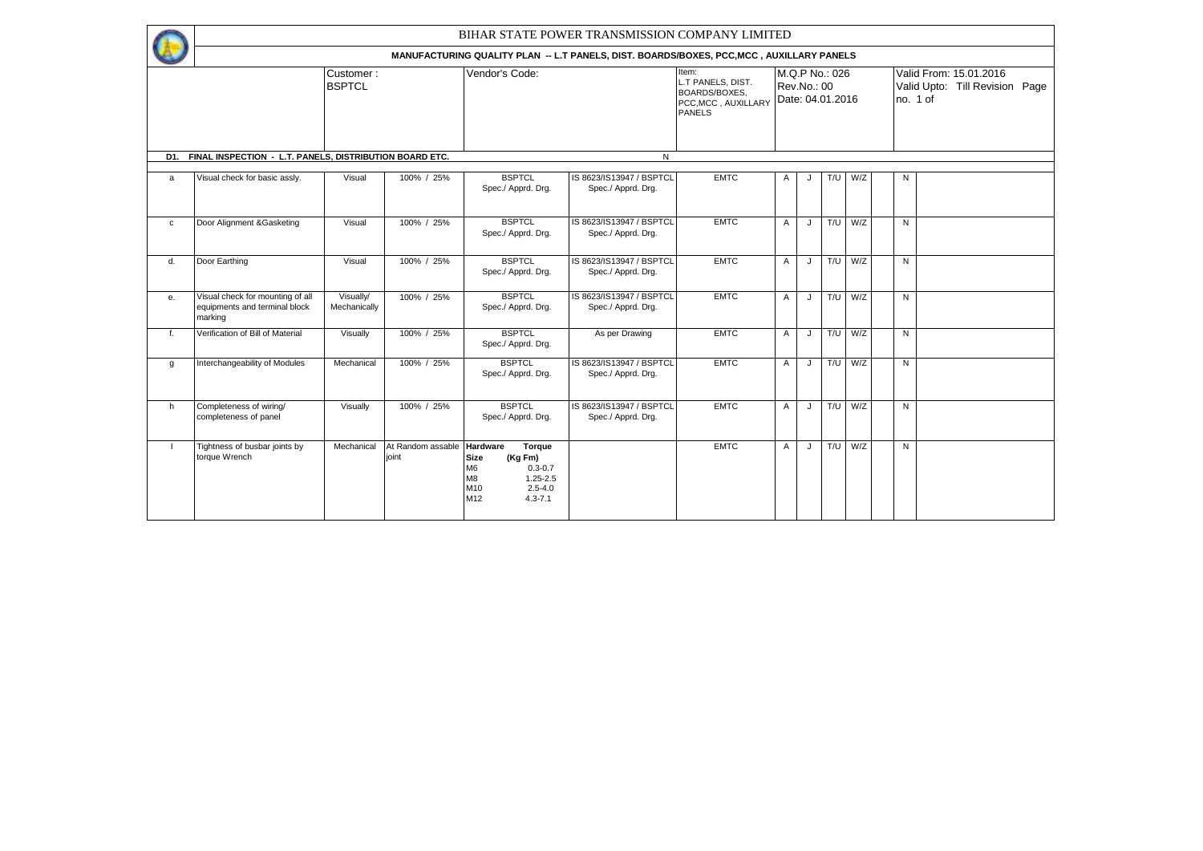|              | BIHAR STATE POWER TRANSMISSION COMPANY LIMITED                               |                           |                            |                                                                                                                                                        |                                                                                          |                                                                                                      |              |             |                |             |  |                                                                      |  |  |
|--------------|------------------------------------------------------------------------------|---------------------------|----------------------------|--------------------------------------------------------------------------------------------------------------------------------------------------------|------------------------------------------------------------------------------------------|------------------------------------------------------------------------------------------------------|--------------|-------------|----------------|-------------|--|----------------------------------------------------------------------|--|--|
|              |                                                                              |                           |                            |                                                                                                                                                        | MANUFACTURING QUALITY PLAN -- L.T PANELS, DIST. BOARDS/BOXES, PCC, MCC, AUXILLARY PANELS |                                                                                                      |              |             |                |             |  |                                                                      |  |  |
|              | Customer:<br><b>BSPTCL</b>                                                   |                           |                            | Vendor's Code:                                                                                                                                         |                                                                                          | Item:<br>L.T PANELS, DIST.<br>BOARDS/BOXES.<br>PCC, MCC, AUXILLARY Date: 04.01.2016<br><b>PANELS</b> |              | Rev.No.: 00 | M.Q.P No.: 026 |             |  | Valid From: 15.01.2016<br>Valid Upto: Till Revision Page<br>no. 1 of |  |  |
| D1.          | FINAL INSPECTION - L.T. PANELS, DISTRIBUTION BOARD ETC.                      |                           |                            |                                                                                                                                                        | N                                                                                        |                                                                                                      |              |             |                |             |  |                                                                      |  |  |
| a            | Visual check for basic assly.                                                | Visual                    | 100% / 25%                 | <b>BSPTCL</b><br>Spec./ Apprd. Drg.                                                                                                                    | IS 8623/IS13947 / BSPTCL<br>Spec./ Apprd. Drg.                                           | <b>EMTC</b>                                                                                          | A            | J           |                | $T/U$ $W/Z$ |  | N                                                                    |  |  |
| $\mathtt{C}$ | Door Alignment & Gasketing                                                   | Visual                    | 100% / 25%                 | <b>BSPTCL</b><br>Spec./ Apprd. Drg.                                                                                                                    | IS 8623/IS13947 / BSPTCL<br>Spec./ Apprd. Drg.                                           | <b>EMTC</b>                                                                                          | A            | J           |                | $T/U$ W/Z   |  | N                                                                    |  |  |
| d.           | Door Earthing                                                                | Visual                    | 100% / 25%                 | <b>BSPTCL</b><br>Spec./ Apprd. Drg.                                                                                                                    | IS 8623/IS13947 / BSPTCL<br>Spec./ Apprd. Drg.                                           | <b>EMTC</b>                                                                                          | A            | J           |                | T/U W/Z     |  | N                                                                    |  |  |
| е.           | Visual check for mounting of all<br>equipments and terminal block<br>marking | Visually/<br>Mechanically | 100% / 25%                 | <b>BSPTCL</b><br>Spec./ Apprd. Drg.                                                                                                                    | IS 8623/IS13947 / BSPTCL<br>Spec./ Apprd. Drg.                                           | <b>EMTC</b>                                                                                          | A            | J           |                | $T/U$ W/Z   |  | N                                                                    |  |  |
| f.           | Verification of Bill of Material                                             | Visually                  | 100% / 25%                 | <b>BSPTCL</b><br>Spec./ Apprd. Drg.                                                                                                                    | As per Drawing                                                                           | <b>EMTC</b>                                                                                          | A            | J           |                | $T/U$ $W/Z$ |  | N                                                                    |  |  |
| g            | Interchangeability of Modules                                                | Mechanical                | 100% / 25%                 | <b>BSPTCL</b><br>Spec./ Apprd. Drg.                                                                                                                    | IS 8623/IS13947 / BSPTCL<br>Spec./ Apprd. Drg.                                           | <b>EMTC</b>                                                                                          | $\mathsf{A}$ | J           |                | $T/U$ $W/Z$ |  | N                                                                    |  |  |
| h.           | Completeness of wiring/<br>completeness of panel                             | Visually                  | 100% / 25%                 | <b>BSPTCL</b><br>Spec./ Apprd. Drg.                                                                                                                    | IS 8623/IS13947 / BSPTCL<br>Spec./ Apprd. Drg.                                           | <b>EMTC</b>                                                                                          | $\mathsf{A}$ | J           |                | $T/U$ $W/Z$ |  | N                                                                    |  |  |
| $\mathbf{I}$ | Tightness of busbar joints by<br>torque Wrench                               | Mechanical                | At Random assable<br>ioint | <b>Hardware</b><br>Torque<br><b>Size</b><br>(Kg Fm)<br>M <sub>6</sub><br>$0.3 - 0.7$<br>M8<br>$1.25 - 2.5$<br>M10<br>$2.5 - 4.0$<br>M12<br>$4.3 - 7.1$ |                                                                                          | <b>EMTC</b>                                                                                          | $\mathsf{A}$ | J           |                | $T/U$ $W/Z$ |  | N                                                                    |  |  |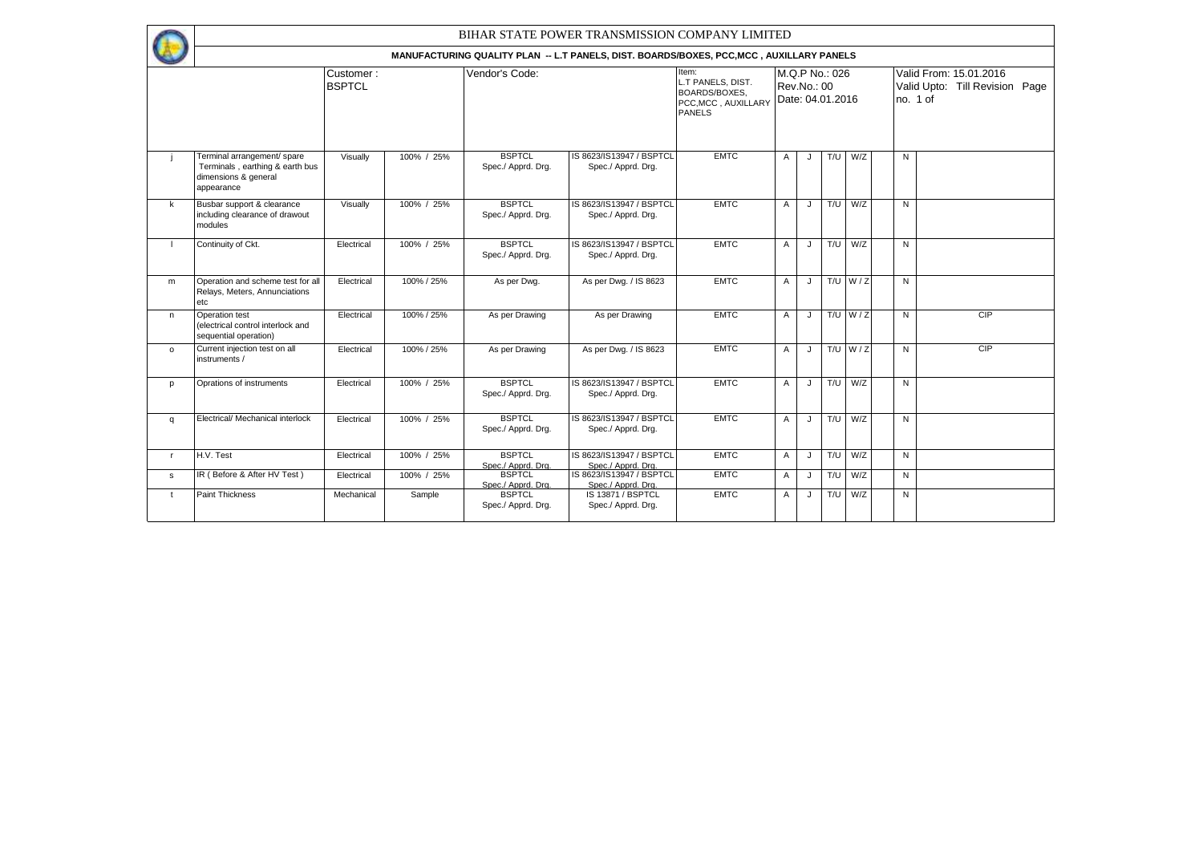|              |                                                                                                      |                                                                                          |                |                                     | BIHAR STATE POWER TRANSMISSION COMPANY LIMITED                                      |             |                |                                    |     |             |                                                                      |   |     |  |  |
|--------------|------------------------------------------------------------------------------------------------------|------------------------------------------------------------------------------------------|----------------|-------------------------------------|-------------------------------------------------------------------------------------|-------------|----------------|------------------------------------|-----|-------------|----------------------------------------------------------------------|---|-----|--|--|
|              |                                                                                                      | MANUFACTURING QUALITY PLAN -- L.T PANELS, DIST. BOARDS/BOXES, PCC, MCC, AUXILLARY PANELS |                |                                     |                                                                                     |             |                |                                    |     |             |                                                                      |   |     |  |  |
|              | Customer:<br><b>BSPTCL</b>                                                                           |                                                                                          | Vendor's Code: |                                     | Item:<br>L.T PANELS, DIST.<br>BOARDS/BOXES.<br>PCC, MCC, AUXILLARY<br><b>PANELS</b> |             | Rev.No.: 00    | M.Q.P No.: 026<br>Date: 04.01.2016 |     |             | Valid From: 15.01.2016<br>Valid Upto: Till Revision Page<br>no. 1 of |   |     |  |  |
|              | Terminal arrangement/ spare<br>Terminals, earthing & earth bus<br>dimensions & general<br>appearance | Visually                                                                                 | 100% / 25%     | <b>BSPTCL</b><br>Spec./ Apprd. Drg. | IS 8623/IS13947 / BSPTCL<br>Spec./ Apprd. Drg.                                      | <b>EMTC</b> | A              | J                                  | T/U | W/Z         |                                                                      | N |     |  |  |
| $\mathsf{k}$ | Busbar support & clearance<br>including clearance of drawout<br>modules                              | Visually                                                                                 | 100% / 25%     | <b>BSPTCL</b><br>Spec./ Apprd. Drg. | IS 8623/IS13947 / BSPTCL<br>Spec./ Apprd. Drg.                                      | <b>EMTC</b> | A              | J                                  | T/U | W/Z         |                                                                      | N |     |  |  |
|              | Continuity of Ckt.                                                                                   | Electrical                                                                               | 100% / 25%     | <b>BSPTCL</b><br>Spec./ Apprd. Drg. | IS 8623/IS13947 / BSPTCL<br>Spec./ Apprd. Drg.                                      | <b>EMTC</b> | Α              | J                                  | T/U | W/Z         |                                                                      | N |     |  |  |
| m            | Operation and scheme test for all<br>Relays, Meters, Annunciations<br>etc                            | Electrical                                                                               | 100% / 25%     | As per Dwg.                         | As per Dwg. / IS 8623                                                               | <b>EMTC</b> | $\mathsf{A}$   | $\mathbf{J}$                       |     | $T/U$ $W/Z$ |                                                                      | N |     |  |  |
| $\mathsf{n}$ | Operation test<br>(electrical control interlock and<br>sequential operation)                         | Electrical                                                                               | 100% / 25%     | As per Drawing                      | As per Drawing                                                                      | <b>EMTC</b> | $\mathsf{A}$   | J                                  |     | $T/U$ $W/Z$ |                                                                      | N | CIP |  |  |
| $\circ$      | Current injection test on all<br>instruments /                                                       | Electrical                                                                               | 100% / 25%     | As per Drawing                      | As per Dwg. / IS 8623                                                               | <b>EMTC</b> | $\mathsf{A}$   | J.                                 |     | T/U $W/Z$   |                                                                      | N | CIP |  |  |
| p            | Oprations of instruments                                                                             | Electrical                                                                               | 100% / 25%     | <b>BSPTCL</b><br>Spec./ Apprd. Drg. | IS 8623/IS13947 / BSPTCL<br>Spec./ Apprd. Drg.                                      | <b>EMTC</b> | $\mathsf{A}$   | J                                  | T/U | W/Z         |                                                                      | N |     |  |  |
| q            | Electrical/ Mechanical interlock                                                                     | Electrical                                                                               | 100% / 25%     | <b>BSPTCL</b><br>Spec./ Apprd. Drg. | IS 8623/IS13947 / BSPTCL<br>Spec./ Apprd. Drg.                                      | <b>EMTC</b> | $\overline{A}$ | J                                  | T/U | W/Z         |                                                                      | N |     |  |  |
| $\mathsf{r}$ | H.V. Test                                                                                            | Electrical                                                                               | 100% / 25%     | <b>BSPTCL</b><br>Spec./ Apprd. Dra. | IS 8623/IS13947 / BSPTCL<br>Spec./ Apprd. Dra.                                      | <b>EMTC</b> | $\mathsf{A}$   | J                                  | T/U | W/Z         |                                                                      | N |     |  |  |
| $\mathbf{s}$ | IR (Before & After HV Test)                                                                          | Electrical                                                                               | 100% / 25%     | <b>BSPTCL</b><br>Spec./ Apprd. Dra. | IS 8623/IS13947 / BSPTCL<br>Spec./ Apprd. Dra.                                      | <b>EMTC</b> | A              | J                                  | T/U | W/Z         |                                                                      | N |     |  |  |
| $\mathsf{t}$ | <b>Paint Thickness</b>                                                                               | Mechanical                                                                               | Sample         | <b>BSPTCL</b><br>Spec./ Apprd. Drg. | IS 13871 / BSPTCL<br>Spec./ Apprd. Drg.                                             | <b>EMTC</b> | Α              | J                                  | T/U | W/Z         |                                                                      | N |     |  |  |